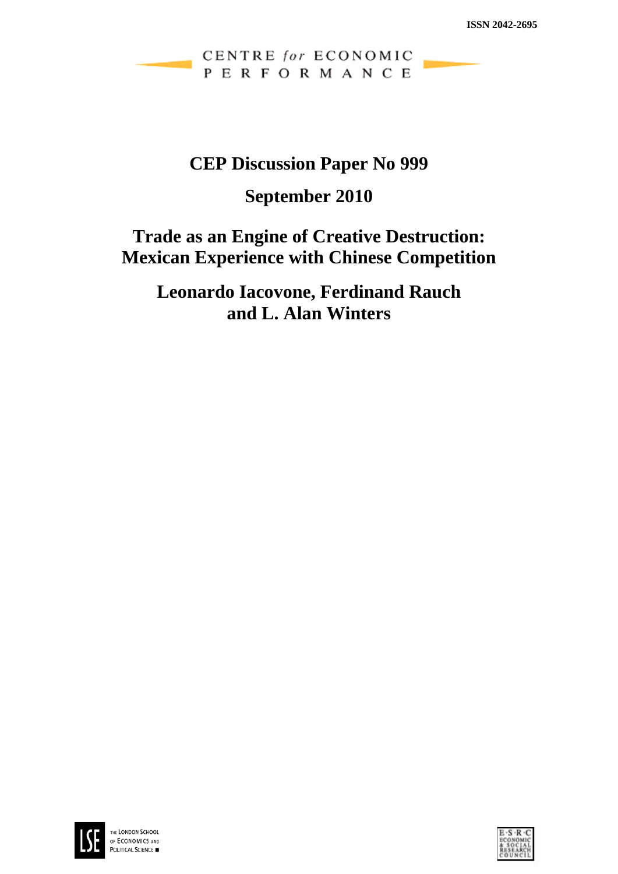CENTRE for ECONOMIC PERFORMANCE

# **CEP Discussion Paper No 999**

# **September 2010**

# **Trade as an Engine of Creative Destruction: Mexican Experience with Chinese Competition**

**Leonardo Iacovone, Ferdinand Rauch and L. Alan Winters** 



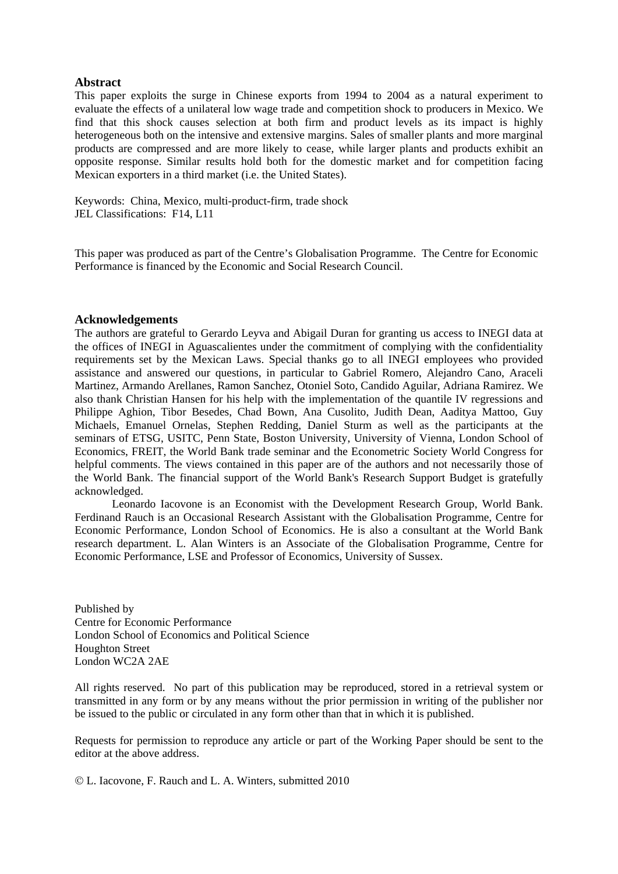#### **Abstract**

This paper exploits the surge in Chinese exports from 1994 to 2004 as a natural experiment to evaluate the effects of a unilateral low wage trade and competition shock to producers in Mexico. We find that this shock causes selection at both firm and product levels as its impact is highly heterogeneous both on the intensive and extensive margins. Sales of smaller plants and more marginal products are compressed and are more likely to cease, while larger plants and products exhibit an opposite response. Similar results hold both for the domestic market and for competition facing Mexican exporters in a third market (i.e. the United States).

Keywords: China, Mexico, multi-product-firm, trade shock JEL Classifications: F14, L11

This paper was produced as part of the Centre's Globalisation Programme. The Centre for Economic Performance is financed by the Economic and Social Research Council.

#### **Acknowledgements**

The authors are grateful to Gerardo Leyva and Abigail Duran for granting us access to INEGI data at the offices of INEGI in Aguascalientes under the commitment of complying with the confidentiality requirements set by the Mexican Laws. Special thanks go to all INEGI employees who provided assistance and answered our questions, in particular to Gabriel Romero, Alejandro Cano, Araceli Martinez, Armando Arellanes, Ramon Sanchez, Otoniel Soto, Candido Aguilar, Adriana Ramirez. We also thank Christian Hansen for his help with the implementation of the quantile IV regressions and Philippe Aghion, Tibor Besedes, Chad Bown, Ana Cusolito, Judith Dean, Aaditya Mattoo, Guy Michaels, Emanuel Ornelas, Stephen Redding, Daniel Sturm as well as the participants at the seminars of ETSG, USITC, Penn State, Boston University, University of Vienna, London School of Economics, FREIT, the World Bank trade seminar and the Econometric Society World Congress for helpful comments. The views contained in this paper are of the authors and not necessarily those of the World Bank. The financial support of the World Bank's Research Support Budget is gratefully acknowledged.

 Leonardo Iacovone is an Economist with the Development Research Group, World Bank. Ferdinand Rauch is an Occasional Research Assistant with the Globalisation Programme, Centre for Economic Performance, London School of Economics. He is also a consultant at the World Bank research department. L. Alan Winters is an Associate of the Globalisation Programme, Centre for Economic Performance, LSE and Professor of Economics, University of Sussex.

Published by Centre for Economic Performance London School of Economics and Political Science Houghton Street London WC2A 2AE

All rights reserved. No part of this publication may be reproduced, stored in a retrieval system or transmitted in any form or by any means without the prior permission in writing of the publisher nor be issued to the public or circulated in any form other than that in which it is published.

Requests for permission to reproduce any article or part of the Working Paper should be sent to the editor at the above address.

© L. Iacovone, F. Rauch and L. A. Winters, submitted 2010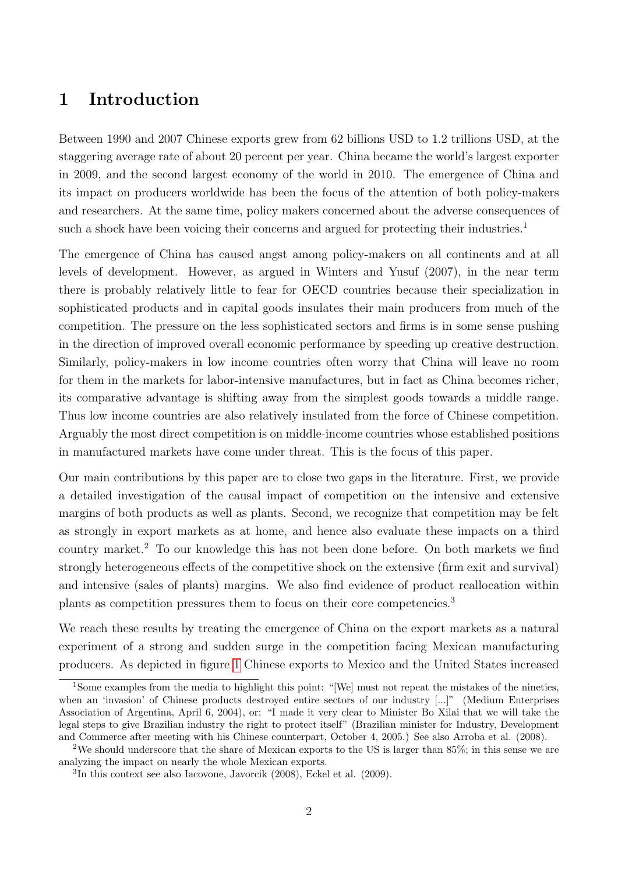### 1 Introduction

Between 1990 and 2007 Chinese exports grew from 62 billions USD to 1.2 trillions USD, at the staggering average rate of about 20 percent per year. China became the world's largest exporter in 2009, and the second largest economy of the world in 2010. The emergence of China and its impact on producers worldwide has been the focus of the attention of both policy-makers and researchers. At the same time, policy makers concerned about the adverse consequences of such a shock have been voicing their concerns and argued for protecting their industries.<sup>1</sup>

The emergence of China has caused angst among policy-makers on all continents and at all levels of development. However, as argued in Winters and Yusuf (2007), in the near term there is probably relatively little to fear for OECD countries because their specialization in sophisticated products and in capital goods insulates their main producers from much of the competition. The pressure on the less sophisticated sectors and firms is in some sense pushing in the direction of improved overall economic performance by speeding up creative destruction. Similarly, policy-makers in low income countries often worry that China will leave no room for them in the markets for labor-intensive manufactures, but in fact as China becomes richer, its comparative advantage is shifting away from the simplest goods towards a middle range. Thus low income countries are also relatively insulated from the force of Chinese competition. Arguably the most direct competition is on middle-income countries whose established positions in manufactured markets have come under threat. This is the focus of this paper.

Our main contributions by this paper are to close two gaps in the literature. First, we provide a detailed investigation of the causal impact of competition on the intensive and extensive margins of both products as well as plants. Second, we recognize that competition may be felt as strongly in export markets as at home, and hence also evaluate these impacts on a third country market.<sup>2</sup> To our knowledge this has not been done before. On both markets we find strongly heterogeneous effects of the competitive shock on the extensive (firm exit and survival) and intensive (sales of plants) margins. We also find evidence of product reallocation within plants as competition pressures them to focus on their core competencies.<sup>3</sup>

We reach these results by treating the emergence of China on the export markets as a natural experiment of a strong and sudden surge in the competition facing Mexican manufacturing producers. As depicted in figure [1](#page-23-0) Chinese exports to Mexico and the United States increased

<sup>1</sup>Some examples from the media to highlight this point: "[We] must not repeat the mistakes of the nineties, when an 'invasion' of Chinese products destroyed entire sectors of our industry [...]" (Medium Enterprises Association of Argentina, April 6, 2004), or: "I made it very clear to Minister Bo Xilai that we will take the legal steps to give Brazilian industry the right to protect itself" (Brazilian minister for Industry, Development and Commerce after meeting with his Chinese counterpart, October 4, 2005.) See also Arroba et al. (2008).

<sup>2</sup>We should underscore that the share of Mexican exports to the US is larger than 85%; in this sense we are analyzing the impact on nearly the whole Mexican exports.

<sup>3</sup> In this context see also Iacovone, Javorcik (2008), Eckel et al. (2009).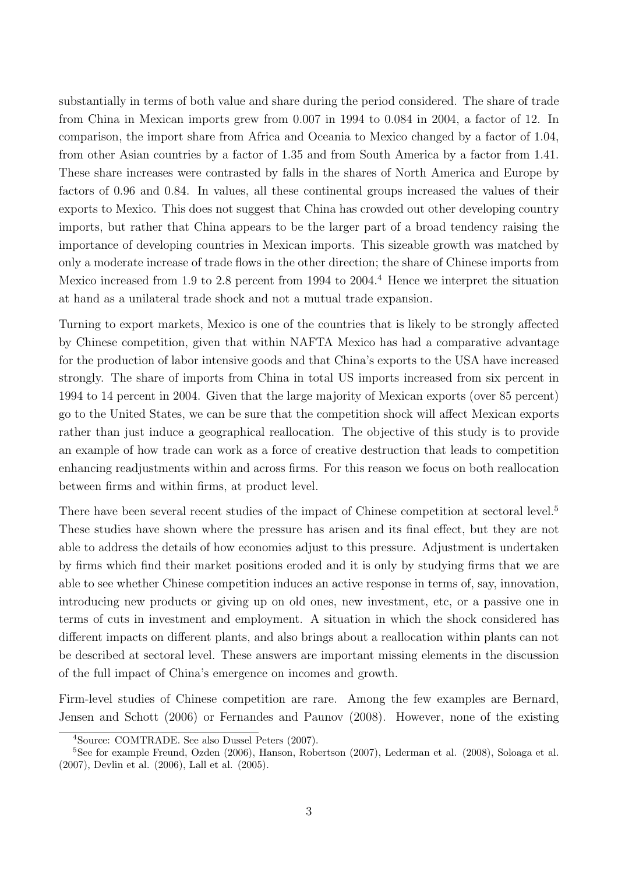substantially in terms of both value and share during the period considered. The share of trade from China in Mexican imports grew from 0.007 in 1994 to 0.084 in 2004, a factor of 12. In comparison, the import share from Africa and Oceania to Mexico changed by a factor of 1.04, from other Asian countries by a factor of 1.35 and from South America by a factor from 1.41. These share increases were contrasted by falls in the shares of North America and Europe by factors of 0.96 and 0.84. In values, all these continental groups increased the values of their exports to Mexico. This does not suggest that China has crowded out other developing country imports, but rather that China appears to be the larger part of a broad tendency raising the importance of developing countries in Mexican imports. This sizeable growth was matched by only a moderate increase of trade flows in the other direction; the share of Chinese imports from Mexico increased from 1.9 to 2.8 percent from 1994 to  $2004<sup>4</sup>$  Hence we interpret the situation at hand as a unilateral trade shock and not a mutual trade expansion.

Turning to export markets, Mexico is one of the countries that is likely to be strongly affected by Chinese competition, given that within NAFTA Mexico has had a comparative advantage for the production of labor intensive goods and that China's exports to the USA have increased strongly. The share of imports from China in total US imports increased from six percent in 1994 to 14 percent in 2004. Given that the large majority of Mexican exports (over 85 percent) go to the United States, we can be sure that the competition shock will affect Mexican exports rather than just induce a geographical reallocation. The objective of this study is to provide an example of how trade can work as a force of creative destruction that leads to competition enhancing readjustments within and across firms. For this reason we focus on both reallocation between firms and within firms, at product level.

There have been several recent studies of the impact of Chinese competition at sectoral level.<sup>5</sup> These studies have shown where the pressure has arisen and its final effect, but they are not able to address the details of how economies adjust to this pressure. Adjustment is undertaken by firms which find their market positions eroded and it is only by studying firms that we are able to see whether Chinese competition induces an active response in terms of, say, innovation, introducing new products or giving up on old ones, new investment, etc, or a passive one in terms of cuts in investment and employment. A situation in which the shock considered has different impacts on different plants, and also brings about a reallocation within plants can not be described at sectoral level. These answers are important missing elements in the discussion of the full impact of China's emergence on incomes and growth.

Firm-level studies of Chinese competition are rare. Among the few examples are Bernard, Jensen and Schott (2006) or Fernandes and Paunov (2008). However, none of the existing

<sup>4</sup>Source: COMTRADE. See also Dussel Peters (2007).

<sup>5</sup>See for example Freund, Ozden (2006), Hanson, Robertson (2007), Lederman et al. (2008), Soloaga et al. (2007), Devlin et al. (2006), Lall et al. (2005).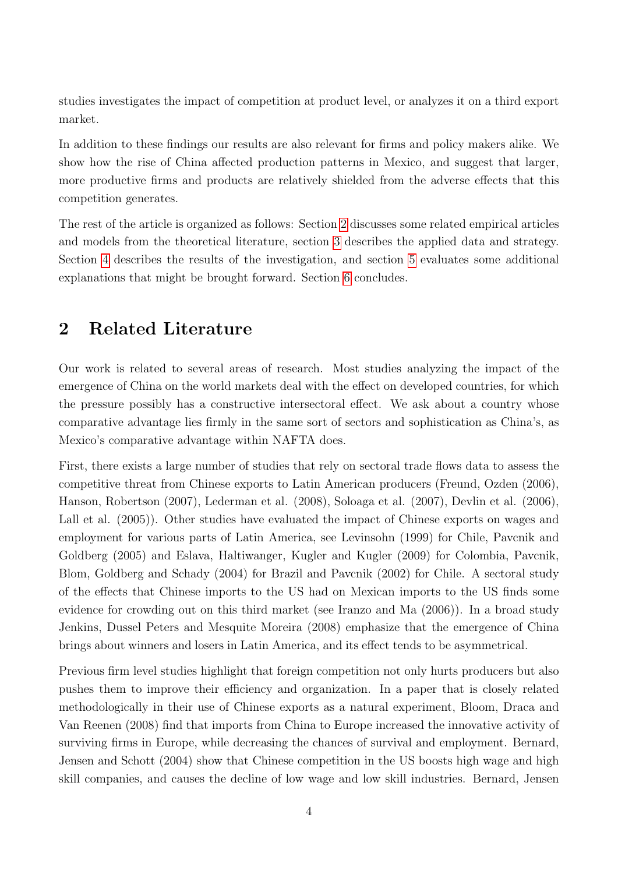studies investigates the impact of competition at product level, or analyzes it on a third export market.

In addition to these findings our results are also relevant for firms and policy makers alike. We show how the rise of China affected production patterns in Mexico, and suggest that larger, more productive firms and products are relatively shielded from the adverse effects that this competition generates.

The rest of the article is organized as follows: Section [2](#page-4-0) discusses some related empirical articles and models from the theoretical literature, section [3](#page-6-0) describes the applied data and strategy. Section [4](#page-9-0) describes the results of the investigation, and section [5](#page-15-0) evaluates some additional explanations that might be brought forward. Section [6](#page-17-0) concludes.

## <span id="page-4-0"></span>2 Related Literature

Our work is related to several areas of research. Most studies analyzing the impact of the emergence of China on the world markets deal with the effect on developed countries, for which the pressure possibly has a constructive intersectoral effect. We ask about a country whose comparative advantage lies firmly in the same sort of sectors and sophistication as China's, as Mexico's comparative advantage within NAFTA does.

First, there exists a large number of studies that rely on sectoral trade flows data to assess the competitive threat from Chinese exports to Latin American producers (Freund, Ozden (2006), Hanson, Robertson (2007), Lederman et al. (2008), Soloaga et al. (2007), Devlin et al. (2006), Lall et al. (2005)). Other studies have evaluated the impact of Chinese exports on wages and employment for various parts of Latin America, see Levinsohn (1999) for Chile, Pavcnik and Goldberg (2005) and Eslava, Haltiwanger, Kugler and Kugler (2009) for Colombia, Pavcnik, Blom, Goldberg and Schady (2004) for Brazil and Pavcnik (2002) for Chile. A sectoral study of the effects that Chinese imports to the US had on Mexican imports to the US finds some evidence for crowding out on this third market (see Iranzo and Ma (2006)). In a broad study Jenkins, Dussel Peters and Mesquite Moreira (2008) emphasize that the emergence of China brings about winners and losers in Latin America, and its effect tends to be asymmetrical.

Previous firm level studies highlight that foreign competition not only hurts producers but also pushes them to improve their efficiency and organization. In a paper that is closely related methodologically in their use of Chinese exports as a natural experiment, Bloom, Draca and Van Reenen (2008) find that imports from China to Europe increased the innovative activity of surviving firms in Europe, while decreasing the chances of survival and employment. Bernard, Jensen and Schott (2004) show that Chinese competition in the US boosts high wage and high skill companies, and causes the decline of low wage and low skill industries. Bernard, Jensen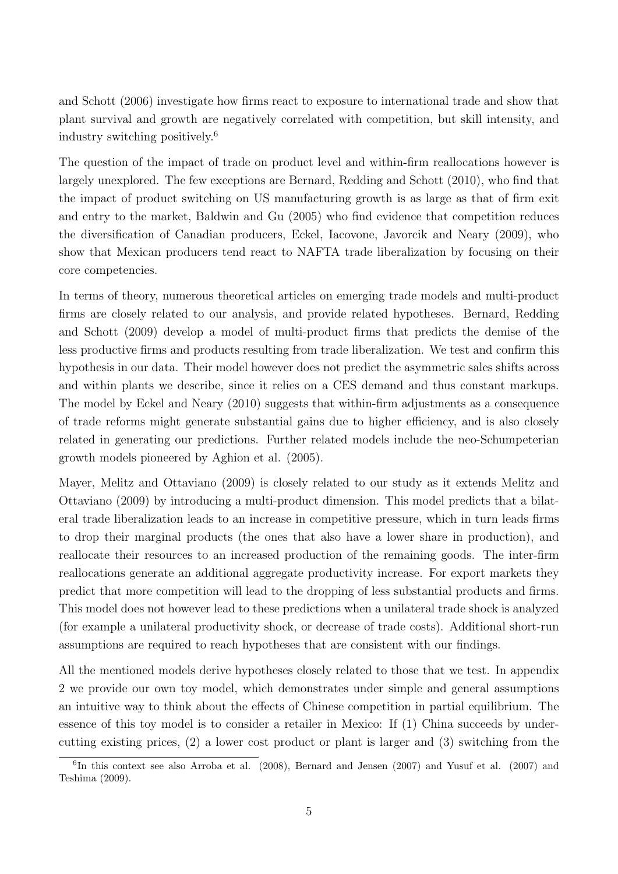and Schott (2006) investigate how firms react to exposure to international trade and show that plant survival and growth are negatively correlated with competition, but skill intensity, and industry switching positively.<sup>6</sup>

The question of the impact of trade on product level and within-firm reallocations however is largely unexplored. The few exceptions are Bernard, Redding and Schott (2010), who find that the impact of product switching on US manufacturing growth is as large as that of firm exit and entry to the market, Baldwin and Gu (2005) who find evidence that competition reduces the diversification of Canadian producers, Eckel, Iacovone, Javorcik and Neary (2009), who show that Mexican producers tend react to NAFTA trade liberalization by focusing on their core competencies.

In terms of theory, numerous theoretical articles on emerging trade models and multi-product firms are closely related to our analysis, and provide related hypotheses. Bernard, Redding and Schott (2009) develop a model of multi-product firms that predicts the demise of the less productive firms and products resulting from trade liberalization. We test and confirm this hypothesis in our data. Their model however does not predict the asymmetric sales shifts across and within plants we describe, since it relies on a CES demand and thus constant markups. The model by Eckel and Neary (2010) suggests that within-firm adjustments as a consequence of trade reforms might generate substantial gains due to higher efficiency, and is also closely related in generating our predictions. Further related models include the neo-Schumpeterian growth models pioneered by Aghion et al. (2005).

Mayer, Melitz and Ottaviano (2009) is closely related to our study as it extends Melitz and Ottaviano (2009) by introducing a multi-product dimension. This model predicts that a bilateral trade liberalization leads to an increase in competitive pressure, which in turn leads firms to drop their marginal products (the ones that also have a lower share in production), and reallocate their resources to an increased production of the remaining goods. The inter-firm reallocations generate an additional aggregate productivity increase. For export markets they predict that more competition will lead to the dropping of less substantial products and firms. This model does not however lead to these predictions when a unilateral trade shock is analyzed (for example a unilateral productivity shock, or decrease of trade costs). Additional short-run assumptions are required to reach hypotheses that are consistent with our findings.

All the mentioned models derive hypotheses closely related to those that we test. In appendix 2 we provide our own toy model, which demonstrates under simple and general assumptions an intuitive way to think about the effects of Chinese competition in partial equilibrium. The essence of this toy model is to consider a retailer in Mexico: If (1) China succeeds by undercutting existing prices, (2) a lower cost product or plant is larger and (3) switching from the

<sup>6</sup> In this context see also Arroba et al. (2008), Bernard and Jensen (2007) and Yusuf et al. (2007) and Teshima (2009).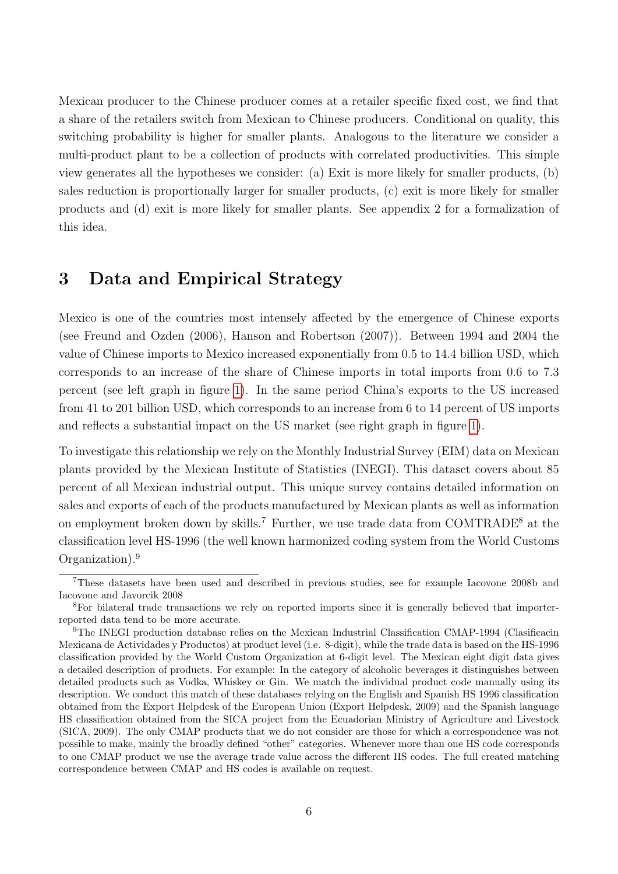Mexican producer to the Chinese producer comes at a retailer specific fixed cost, we find that a share of the retailers switch from Mexican to Chinese producers. Conditional on quality, this switching probability is higher for smaller plants. Analogous to the literature we consider a multi-product plant to be a collection of products with correlated productivities. This simple view generates all the hypotheses we consider: (a) Exit is more likely for smaller products, (b) sales reduction is proportionally larger for smaller products, (c) exit is more likely for smaller products and (d) exit is more likely for smaller plants. See appendix 2 for a formalization of this idea.

### <span id="page-6-0"></span>3 Data and Empirical Strategy

Mexico is one of the countries most intensely affected by the emergence of Chinese exports (see Freund and Ozden (2006), Hanson and Robertson (2007)). Between 1994 and 2004 the value of Chinese imports to Mexico increased exponentially from 0.5 to 14.4 billion USD, which corresponds to an increase of the share of Chinese imports in total imports from 0.6 to 7.3 percent (see left graph in figure [1\)](#page-23-0). In the same period China's exports to the US increased from 41 to 201 billion USD, which corresponds to an increase from 6 to 14 percent of US imports and reflects a substantial impact on the US market (see right graph in figure [1\)](#page-23-0).

To investigate this relationship we rely on the Monthly Industrial Survey (EIM) data on Mexican plants provided by the Mexican Institute of Statistics (INEGI). This dataset covers about 85 percent of all Mexican industrial output. This unique survey contains detailed information on sales and exports of each of the products manufactured by Mexican plants as well as information on employment broken down by skills.<sup>7</sup> Further, we use trade data from COMTRADE<sup>8</sup> at the classification level HS-1996 (the well known harmonized coding system from the World Customs Organization).<sup>9</sup>

<sup>7</sup>These datasets have been used and described in previous studies, see for example Iacovone 2008b and Iacovone and Javorcik 2008

<sup>8</sup>For bilateral trade transactions we rely on reported imports since it is generally believed that importerreported data tend to be more accurate.

<sup>9</sup>The INEGI production database relies on the Mexican Industrial Classification CMAP-1994 (Clasificacin Mexicana de Actividades y Productos) at product level (i.e. 8-digit), while the trade data is based on the HS-1996 classification provided by the World Custom Organization at 6-digit level. The Mexican eight digit data gives a detailed description of products. For example: In the category of alcoholic beverages it distinguishes between detailed products such as Vodka, Whiskey or Gin. We match the individual product code manually using its description. We conduct this match of these databases relying on the English and Spanish HS 1996 classification obtained from the Export Helpdesk of the European Union (Export Helpdesk, 2009) and the Spanish language HS classification obtained from the SICA project from the Ecuadorian Ministry of Agriculture and Livestock (SICA, 2009). The only CMAP products that we do not consider are those for which a correspondence was not possible to make, mainly the broadly defined "other" categories. Whenever more than one HS code corresponds to one CMAP product we use the average trade value across the different HS codes. The full created matching correspondence between CMAP and HS codes is available on request.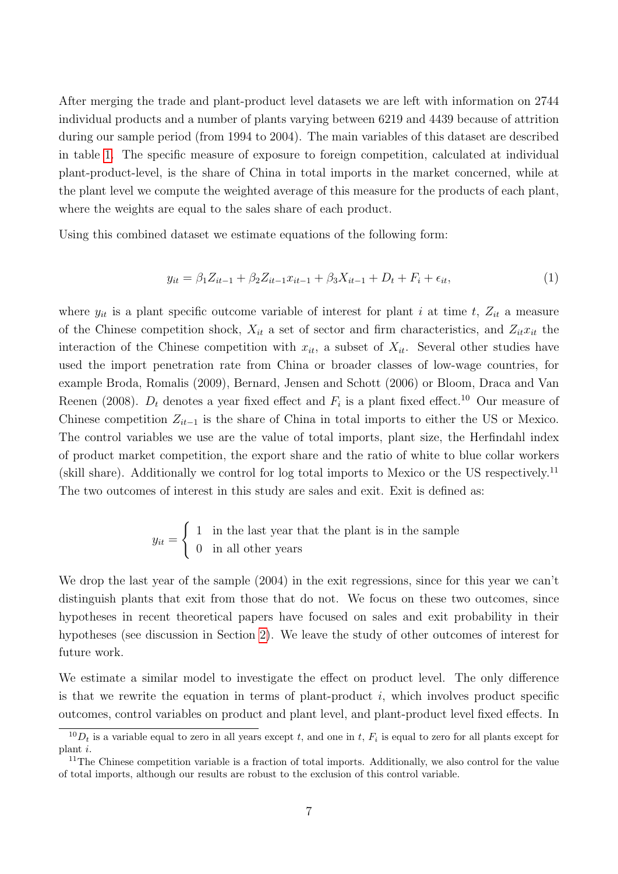After merging the trade and plant-product level datasets we are left with information on 2744 individual products and a number of plants varying between 6219 and 4439 because of attrition during our sample period (from 1994 to 2004). The main variables of this dataset are described in table [1.](#page-24-0) The specific measure of exposure to foreign competition, calculated at individual plant-product-level, is the share of China in total imports in the market concerned, while at the plant level we compute the weighted average of this measure for the products of each plant, where the weights are equal to the sales share of each product.

Using this combined dataset we estimate equations of the following form:

$$
y_{it} = \beta_1 Z_{it-1} + \beta_2 Z_{it-1} x_{it-1} + \beta_3 X_{it-1} + D_t + F_i + \epsilon_{it},\tag{1}
$$

where  $y_{it}$  is a plant specific outcome variable of interest for plant i at time t,  $Z_{it}$  a measure of the Chinese competition shock,  $X_{it}$  a set of sector and firm characteristics, and  $Z_{it}x_{it}$  the interaction of the Chinese competition with  $x_{it}$ , a subset of  $X_{it}$ . Several other studies have used the import penetration rate from China or broader classes of low-wage countries, for example Broda, Romalis (2009), Bernard, Jensen and Schott (2006) or Bloom, Draca and Van Reenen (2008).  $D_t$  denotes a year fixed effect and  $F_i$  is a plant fixed effect.<sup>10</sup> Our measure of Chinese competition  $Z_{it-1}$  is the share of China in total imports to either the US or Mexico. The control variables we use are the value of total imports, plant size, the Herfindahl index of product market competition, the export share and the ratio of white to blue collar workers (skill share). Additionally we control for log total imports to Mexico or the US respectively.<sup>11</sup> The two outcomes of interest in this study are sales and exit. Exit is defined as:

$$
y_{it} = \begin{cases} 1 & \text{in the last year that the plant is in the sample} \\ 0 & \text{in all other years} \end{cases}
$$

We drop the last year of the sample (2004) in the exit regressions, since for this year we can't distinguish plants that exit from those that do not. We focus on these two outcomes, since hypotheses in recent theoretical papers have focused on sales and exit probability in their hypotheses (see discussion in Section [2\)](#page-4-0). We leave the study of other outcomes of interest for future work.

We estimate a similar model to investigate the effect on product level. The only difference is that we rewrite the equation in terms of plant-product  $i$ , which involves product specific outcomes, control variables on product and plant level, and plant-product level fixed effects. In

 ${}^{10}D_t$  is a variable equal to zero in all years except t, and one in t,  $F_i$  is equal to zero for all plants except for plant i.

<sup>&</sup>lt;sup>11</sup>The Chinese competition variable is a fraction of total imports. Additionally, we also control for the value of total imports, although our results are robust to the exclusion of this control variable.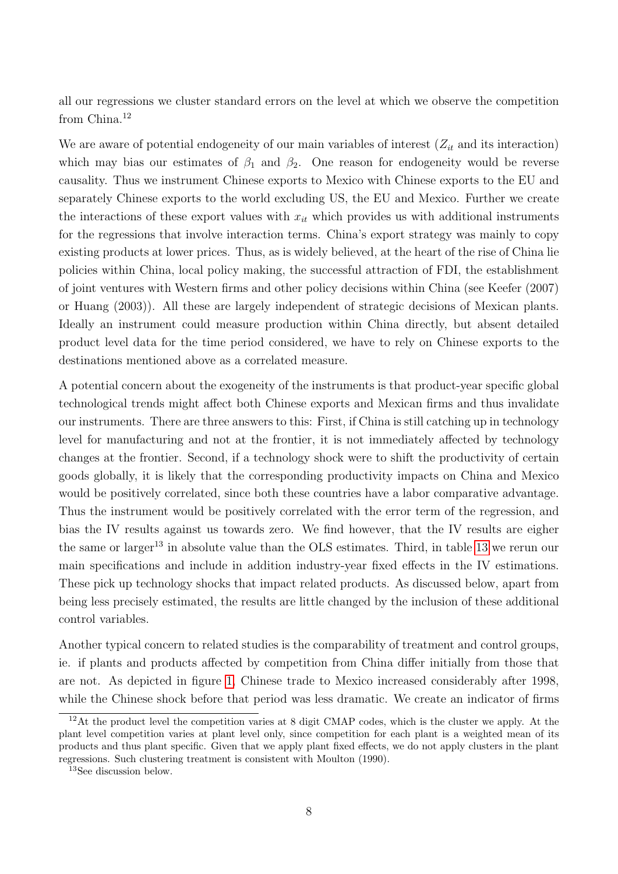all our regressions we cluster standard errors on the level at which we observe the competition from China.<sup>12</sup>

We are aware of potential endogeneity of our main variables of interest  $(Z_{it}$  and its interaction) which may bias our estimates of  $\beta_1$  and  $\beta_2$ . One reason for endogeneity would be reverse causality. Thus we instrument Chinese exports to Mexico with Chinese exports to the EU and separately Chinese exports to the world excluding US, the EU and Mexico. Further we create the interactions of these export values with  $x_{it}$  which provides us with additional instruments for the regressions that involve interaction terms. China's export strategy was mainly to copy existing products at lower prices. Thus, as is widely believed, at the heart of the rise of China lie policies within China, local policy making, the successful attraction of FDI, the establishment of joint ventures with Western firms and other policy decisions within China (see Keefer (2007) or Huang (2003)). All these are largely independent of strategic decisions of Mexican plants. Ideally an instrument could measure production within China directly, but absent detailed product level data for the time period considered, we have to rely on Chinese exports to the destinations mentioned above as a correlated measure.

A potential concern about the exogeneity of the instruments is that product-year specific global technological trends might affect both Chinese exports and Mexican firms and thus invalidate our instruments. There are three answers to this: First, if China is still catching up in technology level for manufacturing and not at the frontier, it is not immediately affected by technology changes at the frontier. Second, if a technology shock were to shift the productivity of certain goods globally, it is likely that the corresponding productivity impacts on China and Mexico would be positively correlated, since both these countries have a labor comparative advantage. Thus the instrument would be positively correlated with the error term of the regression, and bias the IV results against us towards zero. We find however, that the IV results are eigher the same or larger<sup>13</sup> in absolute value than the OLS estimates. Third, in table [13](#page-39-0) we rerun our main specifications and include in addition industry-year fixed effects in the IV estimations. These pick up technology shocks that impact related products. As discussed below, apart from being less precisely estimated, the results are little changed by the inclusion of these additional control variables.

Another typical concern to related studies is the comparability of treatment and control groups, ie. if plants and products affected by competition from China differ initially from those that are not. As depicted in figure [1,](#page-23-0) Chinese trade to Mexico increased considerably after 1998, while the Chinese shock before that period was less dramatic. We create an indicator of firms

 $12$ At the product level the competition varies at 8 digit CMAP codes, which is the cluster we apply. At the plant level competition varies at plant level only, since competition for each plant is a weighted mean of its products and thus plant specific. Given that we apply plant fixed effects, we do not apply clusters in the plant regressions. Such clustering treatment is consistent with Moulton (1990).

<sup>13</sup>See discussion below.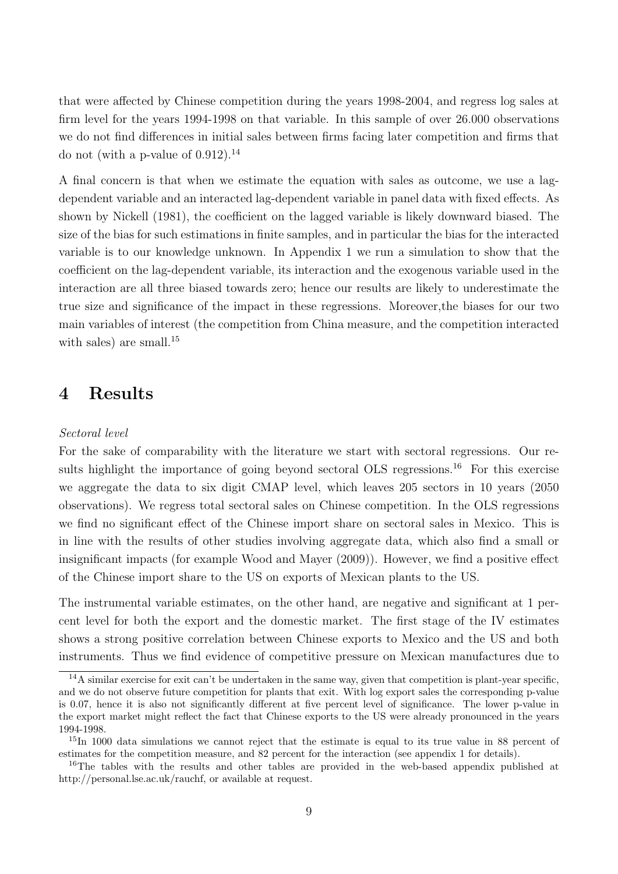that were affected by Chinese competition during the years 1998-2004, and regress log sales at firm level for the years 1994-1998 on that variable. In this sample of over 26.000 observations we do not find differences in initial sales between firms facing later competition and firms that do not (with a p-value of  $0.912$ ).<sup>14</sup>

A final concern is that when we estimate the equation with sales as outcome, we use a lagdependent variable and an interacted lag-dependent variable in panel data with fixed effects. As shown by Nickell (1981), the coefficient on the lagged variable is likely downward biased. The size of the bias for such estimations in finite samples, and in particular the bias for the interacted variable is to our knowledge unknown. In Appendix 1 we run a simulation to show that the coefficient on the lag-dependent variable, its interaction and the exogenous variable used in the interaction are all three biased towards zero; hence our results are likely to underestimate the true size and significance of the impact in these regressions. Moreover,the biases for our two main variables of interest (the competition from China measure, and the competition interacted with sales) are small.<sup>15</sup>

### <span id="page-9-0"></span>4 Results

#### Sectoral level

For the sake of comparability with the literature we start with sectoral regressions. Our results highlight the importance of going beyond sectoral OLS regressions.<sup>16</sup> For this exercise we aggregate the data to six digit CMAP level, which leaves 205 sectors in 10 years (2050 observations). We regress total sectoral sales on Chinese competition. In the OLS regressions we find no significant effect of the Chinese import share on sectoral sales in Mexico. This is in line with the results of other studies involving aggregate data, which also find a small or insignificant impacts (for example Wood and Mayer (2009)). However, we find a positive effect of the Chinese import share to the US on exports of Mexican plants to the US.

The instrumental variable estimates, on the other hand, are negative and significant at 1 percent level for both the export and the domestic market. The first stage of the IV estimates shows a strong positive correlation between Chinese exports to Mexico and the US and both instruments. Thus we find evidence of competitive pressure on Mexican manufactures due to

 $14A$  similar exercise for exit can't be undertaken in the same way, given that competition is plant-year specific, and we do not observe future competition for plants that exit. With log export sales the corresponding p-value is 0.07, hence it is also not significantly different at five percent level of significance. The lower p-value in the export market might reflect the fact that Chinese exports to the US were already pronounced in the years 1994-1998.

 $15\text{In }1000$  data simulations we cannot reject that the estimate is equal to its true value in 88 percent of estimates for the competition measure, and 82 percent for the interaction (see appendix 1 for details).

<sup>&</sup>lt;sup>16</sup>The tables with the results and other tables are provided in the web-based appendix published at http://personal.lse.ac.uk/rauchf, or available at request.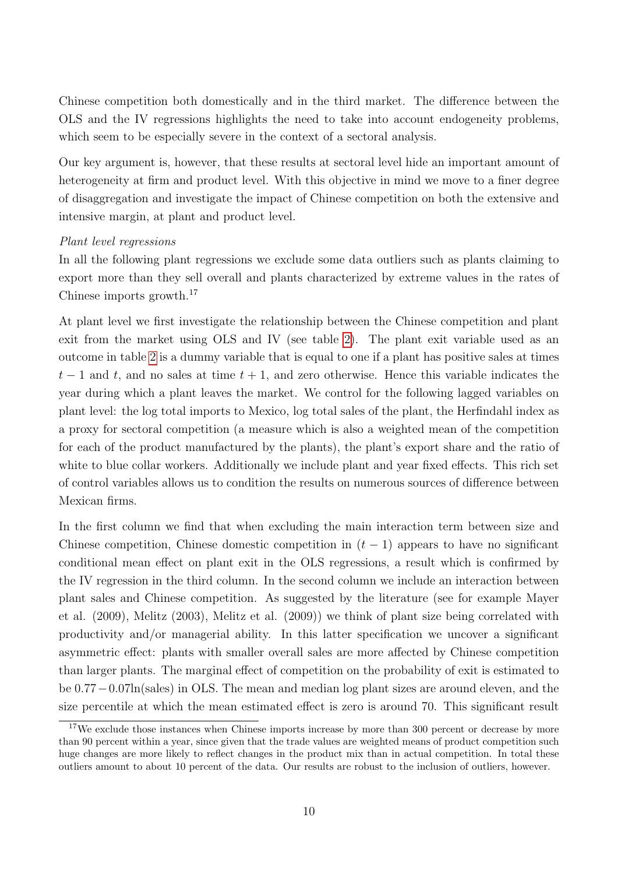Chinese competition both domestically and in the third market. The difference between the OLS and the IV regressions highlights the need to take into account endogeneity problems, which seem to be especially severe in the context of a sectoral analysis.

Our key argument is, however, that these results at sectoral level hide an important amount of heterogeneity at firm and product level. With this objective in mind we move to a finer degree of disaggregation and investigate the impact of Chinese competition on both the extensive and intensive margin, at plant and product level.

#### Plant level regressions

In all the following plant regressions we exclude some data outliers such as plants claiming to export more than they sell overall and plants characterized by extreme values in the rates of Chinese imports growth.<sup>17</sup>

At plant level we first investigate the relationship between the Chinese competition and plant exit from the market using OLS and IV (see table [2\)](#page-25-0). The plant exit variable used as an outcome in table [2](#page-25-0) is a dummy variable that is equal to one if a plant has positive sales at times  $t-1$  and t, and no sales at time  $t+1$ , and zero otherwise. Hence this variable indicates the year during which a plant leaves the market. We control for the following lagged variables on plant level: the log total imports to Mexico, log total sales of the plant, the Herfindahl index as a proxy for sectoral competition (a measure which is also a weighted mean of the competition for each of the product manufactured by the plants), the plant's export share and the ratio of white to blue collar workers. Additionally we include plant and year fixed effects. This rich set of control variables allows us to condition the results on numerous sources of difference between Mexican firms.

In the first column we find that when excluding the main interaction term between size and Chinese competition, Chinese domestic competition in  $(t-1)$  appears to have no significant conditional mean effect on plant exit in the OLS regressions, a result which is confirmed by the IV regression in the third column. In the second column we include an interaction between plant sales and Chinese competition. As suggested by the literature (see for example Mayer et al. (2009), Melitz (2003), Melitz et al. (2009)) we think of plant size being correlated with productivity and/or managerial ability. In this latter specification we uncover a significant asymmetric effect: plants with smaller overall sales are more affected by Chinese competition than larger plants. The marginal effect of competition on the probability of exit is estimated to be 0.77−0.07ln(sales) in OLS. The mean and median log plant sizes are around eleven, and the size percentile at which the mean estimated effect is zero is around 70. This significant result

<sup>&</sup>lt;sup>17</sup>We exclude those instances when Chinese imports increase by more than 300 percent or decrease by more than 90 percent within a year, since given that the trade values are weighted means of product competition such huge changes are more likely to reflect changes in the product mix than in actual competition. In total these outliers amount to about 10 percent of the data. Our results are robust to the inclusion of outliers, however.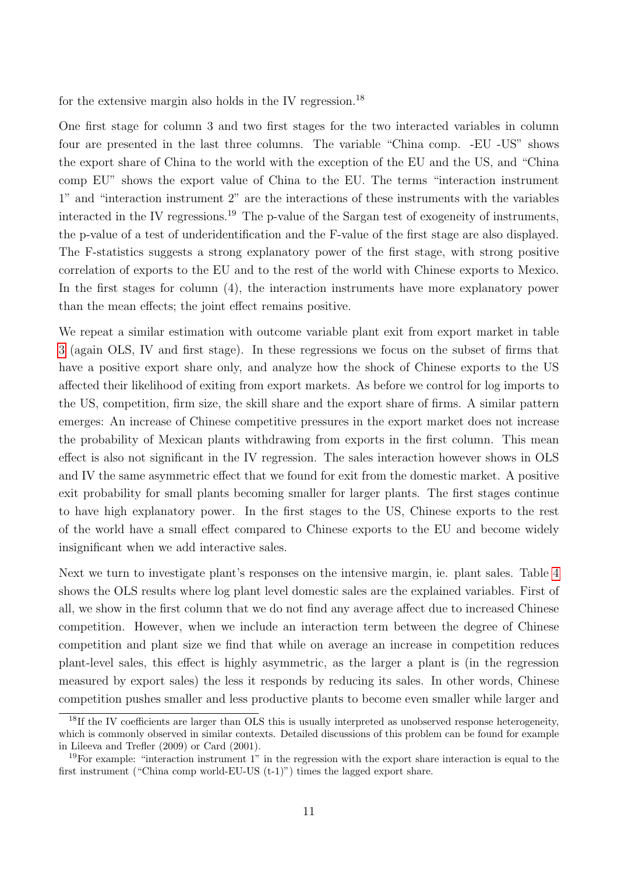for the extensive margin also holds in the IV regression.<sup>18</sup>

One first stage for column 3 and two first stages for the two interacted variables in column four are presented in the last three columns. The variable "China comp. -EU -US" shows the export share of China to the world with the exception of the EU and the US, and "China comp EU" shows the export value of China to the EU. The terms "interaction instrument 1" and "interaction instrument 2" are the interactions of these instruments with the variables interacted in the IV regressions.<sup>19</sup> The p-value of the Sargan test of exogeneity of instruments, the p-value of a test of underidentification and the F-value of the first stage are also displayed. The F-statistics suggests a strong explanatory power of the first stage, with strong positive correlation of exports to the EU and to the rest of the world with Chinese exports to Mexico. In the first stages for column (4), the interaction instruments have more explanatory power than the mean effects; the joint effect remains positive.

We repeat a similar estimation with outcome variable plant exit from export market in table [3](#page-26-0) (again OLS, IV and first stage). In these regressions we focus on the subset of firms that have a positive export share only, and analyze how the shock of Chinese exports to the US affected their likelihood of exiting from export markets. As before we control for log imports to the US, competition, firm size, the skill share and the export share of firms. A similar pattern emerges: An increase of Chinese competitive pressures in the export market does not increase the probability of Mexican plants withdrawing from exports in the first column. This mean effect is also not significant in the IV regression. The sales interaction however shows in OLS and IV the same asymmetric effect that we found for exit from the domestic market. A positive exit probability for small plants becoming smaller for larger plants. The first stages continue to have high explanatory power. In the first stages to the US, Chinese exports to the rest of the world have a small effect compared to Chinese exports to the EU and become widely insignificant when we add interactive sales.

Next we turn to investigate plant's responses on the intensive margin, ie. plant sales. Table [4](#page-27-0) shows the OLS results where log plant level domestic sales are the explained variables. First of all, we show in the first column that we do not find any average affect due to increased Chinese competition. However, when we include an interaction term between the degree of Chinese competition and plant size we find that while on average an increase in competition reduces plant-level sales, this effect is highly asymmetric, as the larger a plant is (in the regression measured by export sales) the less it responds by reducing its sales. In other words, Chinese competition pushes smaller and less productive plants to become even smaller while larger and

<sup>&</sup>lt;sup>18</sup>If the IV coefficients are larger than OLS this is usually interpreted as unobserved response heterogeneity, which is commonly observed in similar contexts. Detailed discussions of this problem can be found for example in Lileeva and Trefler (2009) or Card (2001).

<sup>19</sup>For example: "interaction instrument 1" in the regression with the export share interaction is equal to the first instrument ("China comp world-EU-US  $(t-1)$ ") times the lagged export share.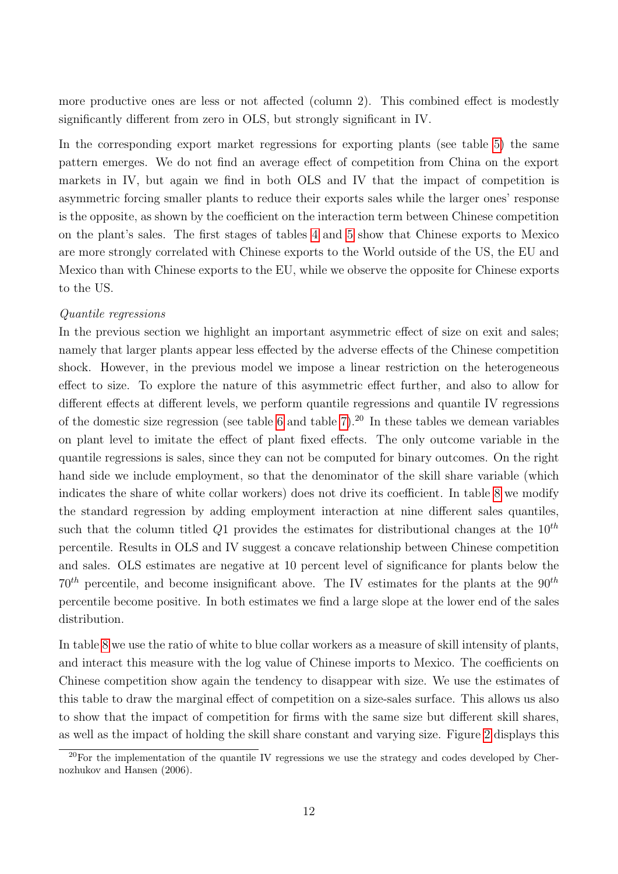more productive ones are less or not affected (column 2). This combined effect is modestly significantly different from zero in OLS, but strongly significant in IV.

In the corresponding export market regressions for exporting plants (see table [5\)](#page-28-0) the same pattern emerges. We do not find an average effect of competition from China on the export markets in IV, but again we find in both OLS and IV that the impact of competition is asymmetric forcing smaller plants to reduce their exports sales while the larger ones' response is the opposite, as shown by the coefficient on the interaction term between Chinese competition on the plant's sales. The first stages of tables [4](#page-27-0) and [5](#page-28-0) show that Chinese exports to Mexico are more strongly correlated with Chinese exports to the World outside of the US, the EU and Mexico than with Chinese exports to the EU, while we observe the opposite for Chinese exports to the US.

#### Quantile regressions

In the previous section we highlight an important asymmetric effect of size on exit and sales; namely that larger plants appear less effected by the adverse effects of the Chinese competition shock. However, in the previous model we impose a linear restriction on the heterogeneous effect to size. To explore the nature of this asymmetric effect further, and also to allow for different effects at different levels, we perform quantile regressions and quantile IV regressions of the domestic size regression (see table [6](#page-29-0) and table [7\)](#page-30-0).<sup>20</sup> In these tables we demean variables on plant level to imitate the effect of plant fixed effects. The only outcome variable in the quantile regressions is sales, since they can not be computed for binary outcomes. On the right hand side we include employment, so that the denominator of the skill share variable (which indicates the share of white collar workers) does not drive its coefficient. In table [8](#page-31-0) we modify the standard regression by adding employment interaction at nine different sales quantiles, such that the column titled  $Q1$  provides the estimates for distributional changes at the  $10^{th}$ percentile. Results in OLS and IV suggest a concave relationship between Chinese competition and sales. OLS estimates are negative at 10 percent level of significance for plants below the  $70<sup>th</sup>$  percentile, and become insignificant above. The IV estimates for the plants at the  $90<sup>th</sup>$ percentile become positive. In both estimates we find a large slope at the lower end of the sales distribution.

In table [8](#page-31-0) we use the ratio of white to blue collar workers as a measure of skill intensity of plants, and interact this measure with the log value of Chinese imports to Mexico. The coefficients on Chinese competition show again the tendency to disappear with size. We use the estimates of this table to draw the marginal effect of competition on a size-sales surface. This allows us also to show that the impact of competition for firms with the same size but different skill shares, as well as the impact of holding the skill share constant and varying size. Figure [2](#page-32-0) displays this

 $20$ For the implementation of the quantile IV regressions we use the strategy and codes developed by Chernozhukov and Hansen (2006).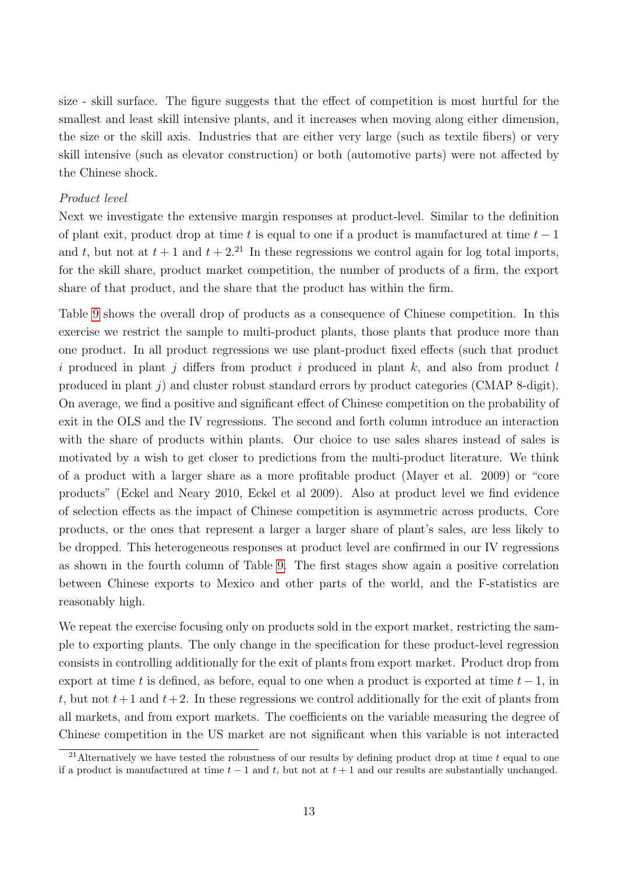size - skill surface. The figure suggests that the effect of competition is most hurtful for the smallest and least skill intensive plants, and it increases when moving along either dimension, the size or the skill axis. Industries that are either very large (such as textile fibers) or very skill intensive (such as elevator construction) or both (automotive parts) were not affected by the Chinese shock.

#### Product level

Next we investigate the extensive margin responses at product-level. Similar to the definition of plant exit, product drop at time t is equal to one if a product is manufactured at time  $t-1$ and t, but not at  $t + 1$  and  $t + 2<sup>21</sup>$  In these regressions we control again for log total imports, for the skill share, product market competition, the number of products of a firm, the export share of that product, and the share that the product has within the firm.

Table [9](#page-33-0) shows the overall drop of products as a consequence of Chinese competition. In this exercise we restrict the sample to multi-product plants, those plants that produce more than one product. In all product regressions we use plant-product fixed effects (such that product i produced in plant j differs from product i produced in plant  $k$ , and also from product l produced in plant j) and cluster robust standard errors by product categories (CMAP 8-digit). On average, we find a positive and significant effect of Chinese competition on the probability of exit in the OLS and the IV regressions. The second and forth column introduce an interaction with the share of products within plants. Our choice to use sales shares instead of sales is motivated by a wish to get closer to predictions from the multi-product literature. We think of a product with a larger share as a more profitable product (Mayer et al. 2009) or "core products" (Eckel and Neary 2010, Eckel et al 2009). Also at product level we find evidence of selection effects as the impact of Chinese competition is asymmetric across products. Core products, or the ones that represent a larger a larger share of plant's sales, are less likely to be dropped. This heterogeneous responses at product level are confirmed in our IV regressions as shown in the fourth column of Table [9.](#page-33-0) The first stages show again a positive correlation between Chinese exports to Mexico and other parts of the world, and the F-statistics are reasonably high.

We repeat the exercise focusing only on products sold in the export market, restricting the sample to exporting plants. The only change in the specification for these product-level regression consists in controlling additionally for the exit of plants from export market. Product drop from export at time t is defined, as before, equal to one when a product is exported at time  $t - 1$ , in t, but not  $t+1$  and  $t+2$ . In these regressions we control additionally for the exit of plants from all markets, and from export markets. The coefficients on the variable measuring the degree of Chinese competition in the US market are not significant when this variable is not interacted

<sup>&</sup>lt;sup>21</sup>Alternatively we have tested the robustness of our results by defining product drop at time  $t$  equal to one if a product is manufactured at time  $t - 1$  and  $t$ , but not at  $t + 1$  and our results are substantially unchanged.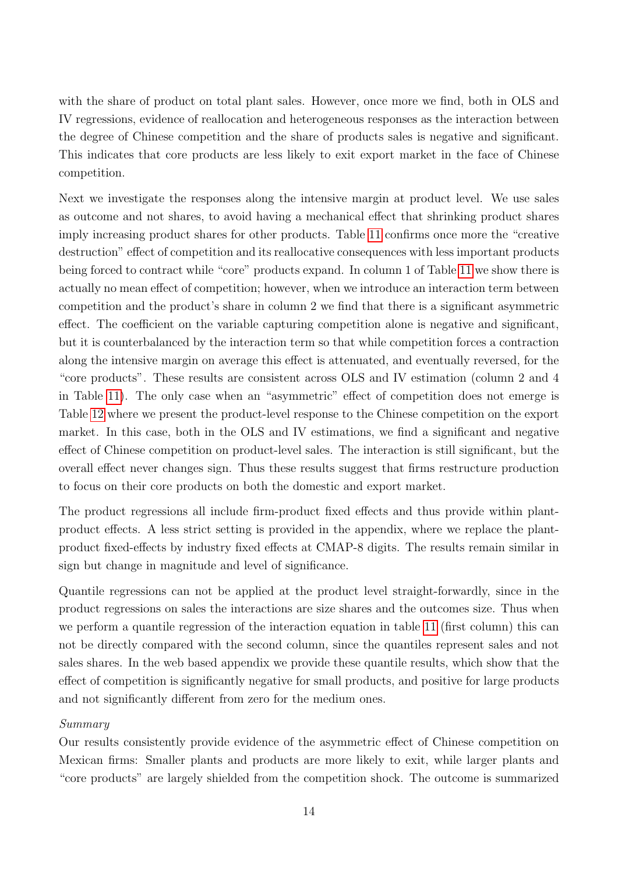with the share of product on total plant sales. However, once more we find, both in OLS and IV regressions, evidence of reallocation and heterogeneous responses as the interaction between the degree of Chinese competition and the share of products sales is negative and significant. This indicates that core products are less likely to exit export market in the face of Chinese competition.

Next we investigate the responses along the intensive margin at product level. We use sales as outcome and not shares, to avoid having a mechanical effect that shrinking product shares imply increasing product shares for other products. Table [11](#page-35-0) confirms once more the "creative destruction" effect of competition and its reallocative consequences with less important products being forced to contract while "core" products expand. In column 1 of Table [11](#page-35-0) we show there is actually no mean effect of competition; however, when we introduce an interaction term between competition and the product's share in column 2 we find that there is a significant asymmetric effect. The coefficient on the variable capturing competition alone is negative and significant, but it is counterbalanced by the interaction term so that while competition forces a contraction along the intensive margin on average this effect is attenuated, and eventually reversed, for the "core products". These results are consistent across OLS and IV estimation (column 2 and 4 in Table [11\)](#page-35-0). The only case when an "asymmetric" effect of competition does not emerge is Table [12](#page-38-0) where we present the product-level response to the Chinese competition on the export market. In this case, both in the OLS and IV estimations, we find a significant and negative effect of Chinese competition on product-level sales. The interaction is still significant, but the overall effect never changes sign. Thus these results suggest that firms restructure production to focus on their core products on both the domestic and export market.

The product regressions all include firm-product fixed effects and thus provide within plantproduct effects. A less strict setting is provided in the appendix, where we replace the plantproduct fixed-effects by industry fixed effects at CMAP-8 digits. The results remain similar in sign but change in magnitude and level of significance.

Quantile regressions can not be applied at the product level straight-forwardly, since in the product regressions on sales the interactions are size shares and the outcomes size. Thus when we perform a quantile regression of the interaction equation in table [11](#page-35-0) (first column) this can not be directly compared with the second column, since the quantiles represent sales and not sales shares. In the web based appendix we provide these quantile results, which show that the effect of competition is significantly negative for small products, and positive for large products and not significantly different from zero for the medium ones.

#### Summary

Our results consistently provide evidence of the asymmetric effect of Chinese competition on Mexican firms: Smaller plants and products are more likely to exit, while larger plants and "core products" are largely shielded from the competition shock. The outcome is summarized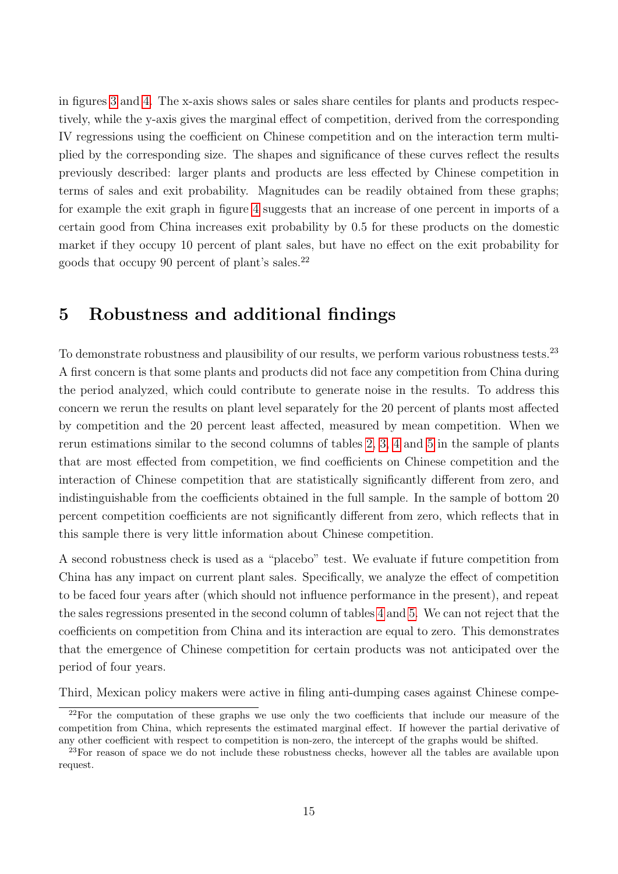in figures [3](#page-36-0) and [4.](#page-37-0) The x-axis shows sales or sales share centiles for plants and products respectively, while the y-axis gives the marginal effect of competition, derived from the corresponding IV regressions using the coefficient on Chinese competition and on the interaction term multiplied by the corresponding size. The shapes and significance of these curves reflect the results previously described: larger plants and products are less effected by Chinese competition in terms of sales and exit probability. Magnitudes can be readily obtained from these graphs; for example the exit graph in figure [4](#page-37-0) suggests that an increase of one percent in imports of a certain good from China increases exit probability by 0.5 for these products on the domestic market if they occupy 10 percent of plant sales, but have no effect on the exit probability for goods that occupy 90 percent of plant's sales.<sup>22</sup>

## <span id="page-15-0"></span>5 Robustness and additional findings

To demonstrate robustness and plausibility of our results, we perform various robustness tests.<sup>23</sup> A first concern is that some plants and products did not face any competition from China during the period analyzed, which could contribute to generate noise in the results. To address this concern we rerun the results on plant level separately for the 20 percent of plants most affected by competition and the 20 percent least affected, measured by mean competition. When we rerun estimations similar to the second columns of tables [2,](#page-25-0) [3,](#page-26-0) [4](#page-27-0) and [5](#page-28-0) in the sample of plants that are most effected from competition, we find coefficients on Chinese competition and the interaction of Chinese competition that are statistically significantly different from zero, and indistinguishable from the coefficients obtained in the full sample. In the sample of bottom 20 percent competition coefficients are not significantly different from zero, which reflects that in this sample there is very little information about Chinese competition.

A second robustness check is used as a "placebo" test. We evaluate if future competition from China has any impact on current plant sales. Specifically, we analyze the effect of competition to be faced four years after (which should not influence performance in the present), and repeat the sales regressions presented in the second column of tables [4](#page-27-0) and [5.](#page-28-0) We can not reject that the coefficients on competition from China and its interaction are equal to zero. This demonstrates that the emergence of Chinese competition for certain products was not anticipated over the period of four years.

Third, Mexican policy makers were active in filing anti-dumping cases against Chinese compe-

<sup>&</sup>lt;sup>22</sup>For the computation of these graphs we use only the two coefficients that include our measure of the competition from China, which represents the estimated marginal effect. If however the partial derivative of any other coefficient with respect to competition is non-zero, the intercept of the graphs would be shifted.

<sup>&</sup>lt;sup>23</sup>For reason of space we do not include these robustness checks, however all the tables are available upon request.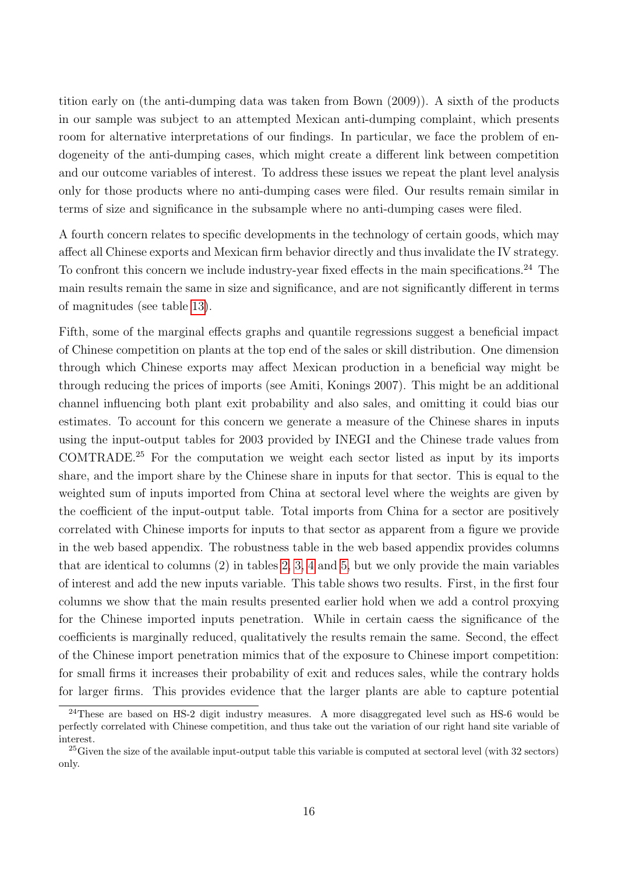tition early on (the anti-dumping data was taken from Bown (2009)). A sixth of the products in our sample was subject to an attempted Mexican anti-dumping complaint, which presents room for alternative interpretations of our findings. In particular, we face the problem of endogeneity of the anti-dumping cases, which might create a different link between competition and our outcome variables of interest. To address these issues we repeat the plant level analysis only for those products where no anti-dumping cases were filed. Our results remain similar in terms of size and significance in the subsample where no anti-dumping cases were filed.

A fourth concern relates to specific developments in the technology of certain goods, which may affect all Chinese exports and Mexican firm behavior directly and thus invalidate the IV strategy. To confront this concern we include industry-year fixed effects in the main specifications.<sup>24</sup> The main results remain the same in size and significance, and are not significantly different in terms of magnitudes (see table [13\)](#page-39-0).

Fifth, some of the marginal effects graphs and quantile regressions suggest a beneficial impact of Chinese competition on plants at the top end of the sales or skill distribution. One dimension through which Chinese exports may affect Mexican production in a beneficial way might be through reducing the prices of imports (see Amiti, Konings 2007). This might be an additional channel influencing both plant exit probability and also sales, and omitting it could bias our estimates. To account for this concern we generate a measure of the Chinese shares in inputs using the input-output tables for 2003 provided by INEGI and the Chinese trade values from COMTRADE.<sup>25</sup> For the computation we weight each sector listed as input by its imports share, and the import share by the Chinese share in inputs for that sector. This is equal to the weighted sum of inputs imported from China at sectoral level where the weights are given by the coefficient of the input-output table. Total imports from China for a sector are positively correlated with Chinese imports for inputs to that sector as apparent from a figure we provide in the web based appendix. The robustness table in the web based appendix provides columns that are identical to columns (2) in tables [2,](#page-25-0) [3,](#page-26-0) [4](#page-27-0) and [5,](#page-28-0) but we only provide the main variables of interest and add the new inputs variable. This table shows two results. First, in the first four columns we show that the main results presented earlier hold when we add a control proxying for the Chinese imported inputs penetration. While in certain caess the significance of the coefficients is marginally reduced, qualitatively the results remain the same. Second, the effect of the Chinese import penetration mimics that of the exposure to Chinese import competition: for small firms it increases their probability of exit and reduces sales, while the contrary holds for larger firms. This provides evidence that the larger plants are able to capture potential

<sup>&</sup>lt;sup>24</sup>These are based on HS-2 digit industry measures. A more disaggregated level such as HS-6 would be perfectly correlated with Chinese competition, and thus take out the variation of our right hand site variable of interest.

 $^{25}$ Given the size of the available input-output table this variable is computed at sectoral level (with 32 sectors) only.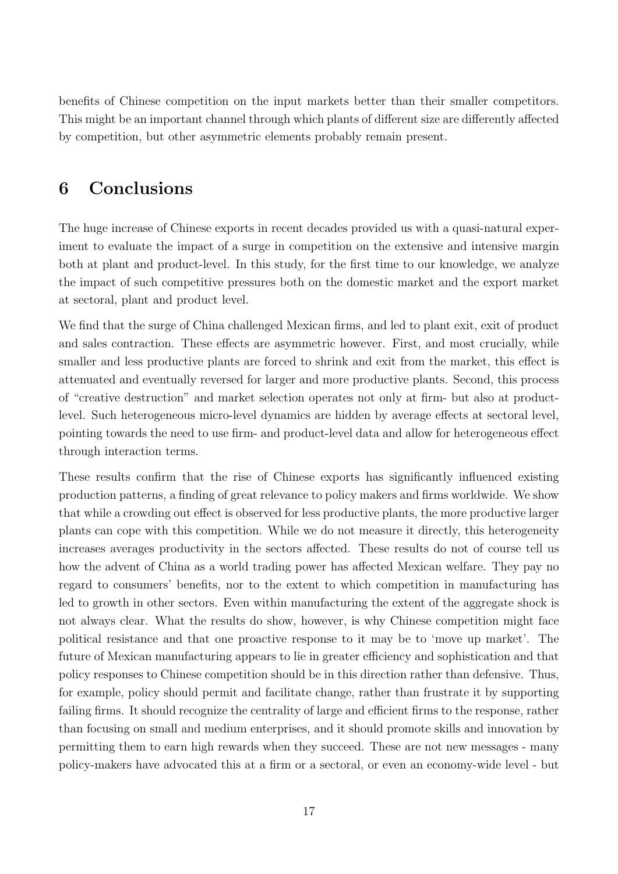benefits of Chinese competition on the input markets better than their smaller competitors. This might be an important channel through which plants of different size are differently affected by competition, but other asymmetric elements probably remain present.

### <span id="page-17-0"></span>6 Conclusions

The huge increase of Chinese exports in recent decades provided us with a quasi-natural experiment to evaluate the impact of a surge in competition on the extensive and intensive margin both at plant and product-level. In this study, for the first time to our knowledge, we analyze the impact of such competitive pressures both on the domestic market and the export market at sectoral, plant and product level.

We find that the surge of China challenged Mexican firms, and led to plant exit, exit of product and sales contraction. These effects are asymmetric however. First, and most crucially, while smaller and less productive plants are forced to shrink and exit from the market, this effect is attenuated and eventually reversed for larger and more productive plants. Second, this process of "creative destruction" and market selection operates not only at firm- but also at productlevel. Such heterogeneous micro-level dynamics are hidden by average effects at sectoral level, pointing towards the need to use firm- and product-level data and allow for heterogeneous effect through interaction terms.

These results confirm that the rise of Chinese exports has significantly influenced existing production patterns, a finding of great relevance to policy makers and firms worldwide. We show that while a crowding out effect is observed for less productive plants, the more productive larger plants can cope with this competition. While we do not measure it directly, this heterogeneity increases averages productivity in the sectors affected. These results do not of course tell us how the advent of China as a world trading power has affected Mexican welfare. They pay no regard to consumers' benefits, nor to the extent to which competition in manufacturing has led to growth in other sectors. Even within manufacturing the extent of the aggregate shock is not always clear. What the results do show, however, is why Chinese competition might face political resistance and that one proactive response to it may be to 'move up market'. The future of Mexican manufacturing appears to lie in greater efficiency and sophistication and that policy responses to Chinese competition should be in this direction rather than defensive. Thus, for example, policy should permit and facilitate change, rather than frustrate it by supporting failing firms. It should recognize the centrality of large and efficient firms to the response, rather than focusing on small and medium enterprises, and it should promote skills and innovation by permitting them to earn high rewards when they succeed. These are not new messages - many policy-makers have advocated this at a firm or a sectoral, or even an economy-wide level - but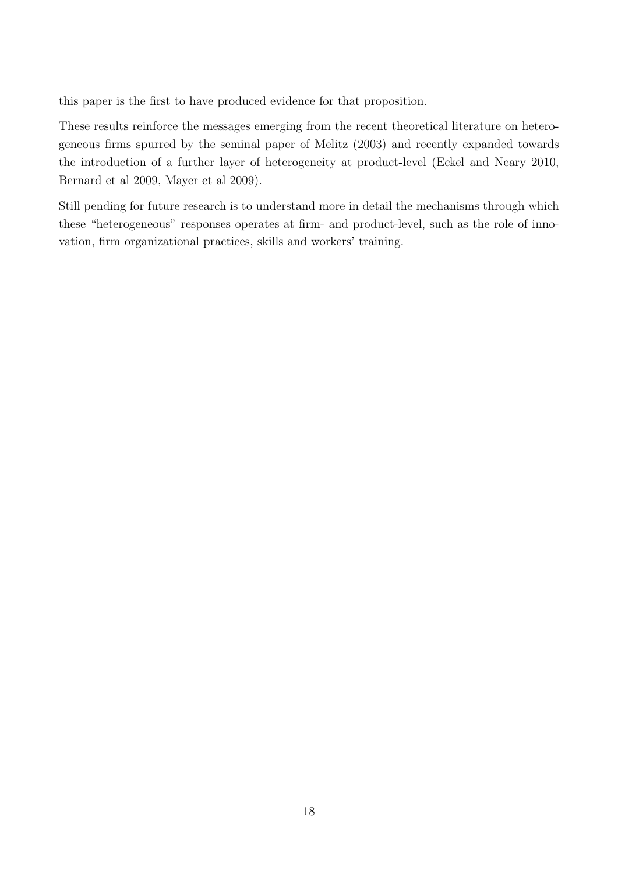this paper is the first to have produced evidence for that proposition.

These results reinforce the messages emerging from the recent theoretical literature on heterogeneous firms spurred by the seminal paper of Melitz (2003) and recently expanded towards the introduction of a further layer of heterogeneity at product-level (Eckel and Neary 2010, Bernard et al 2009, Mayer et al 2009).

Still pending for future research is to understand more in detail the mechanisms through which these "heterogeneous" responses operates at firm- and product-level, such as the role of innovation, firm organizational practices, skills and workers' training.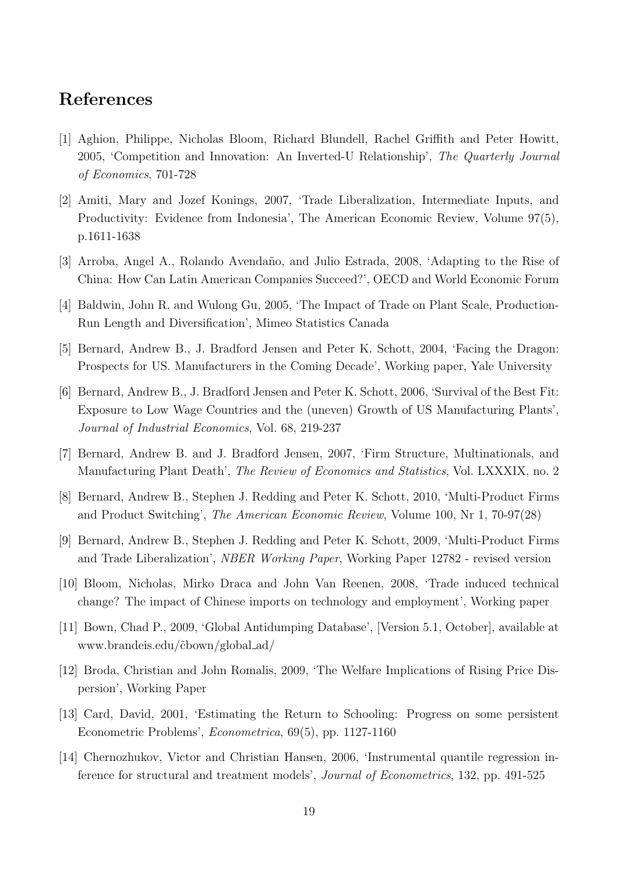### References

- [1] Aghion, Philippe, Nicholas Bloom, Richard Blundell, Rachel Griffith and Peter Howitt, 2005, 'Competition and Innovation: An Inverted-U Relationship', The Quarterly Journal of Economics, 701-728
- [2] Amiti, Mary and Jozef Konings, 2007, 'Trade Liberalization, Intermediate Inputs, and Productivity: Evidence from Indonesia', The American Economic Review, Volume 97(5), p.1611-1638
- [3] Arroba, Angel A., Rolando Avendaño, and Julio Estrada, 2008, 'Adapting to the Rise of China: How Can Latin American Companies Succeed?', OECD and World Economic Forum
- [4] Baldwin, John R. and Wulong Gu, 2005, 'The Impact of Trade on Plant Scale, Production-Run Length and Diversification', Mimeo Statistics Canada
- [5] Bernard, Andrew B., J. Bradford Jensen and Peter K. Schott, 2004, 'Facing the Dragon: Prospects for US. Manufacturers in the Coming Decade', Working paper, Yale University
- [6] Bernard, Andrew B., J. Bradford Jensen and Peter K. Schott, 2006, 'Survival of the Best Fit: Exposure to Low Wage Countries and the (uneven) Growth of US Manufacturing Plants', Journal of Industrial Economics, Vol. 68, 219-237
- [7] Bernard, Andrew B. and J. Bradford Jensen, 2007, 'Firm Structure, Multinationals, and Manufacturing Plant Death', The Review of Economics and Statistics, Vol. LXXXIX, no. 2
- [8] Bernard, Andrew B., Stephen J. Redding and Peter K. Schott, 2010, 'Multi-Product Firms and Product Switching', The American Economic Review, Volume 100, Nr 1, 70-97(28)
- [9] Bernard, Andrew B., Stephen J. Redding and Peter K. Schott, 2009, 'Multi-Product Firms and Trade Liberalization', NBER Working Paper, Working Paper 12782 - revised version
- [10] Bloom, Nicholas, Mirko Draca and John Van Reenen, 2008, 'Trade induced technical change? The impact of Chinese imports on technology and employment', Working paper
- [11] Bown, Chad P., 2009, 'Global Antidumping Database', [Version 5.1, October], available at www.brandeis.edu/˜cbown/global ad/
- [12] Broda, Christian and John Romalis, 2009, 'The Welfare Implications of Rising Price Dispersion', Working Paper
- [13] Card, David, 2001, 'Estimating the Return to Schooling: Progress on some persistent Econometric Problems', Econometrica, 69(5), pp. 1127-1160
- [14] Chernozhukov, Victor and Christian Hansen, 2006, 'Instrumental quantile regression inference for structural and treatment models', Journal of Econometrics, 132, pp. 491-525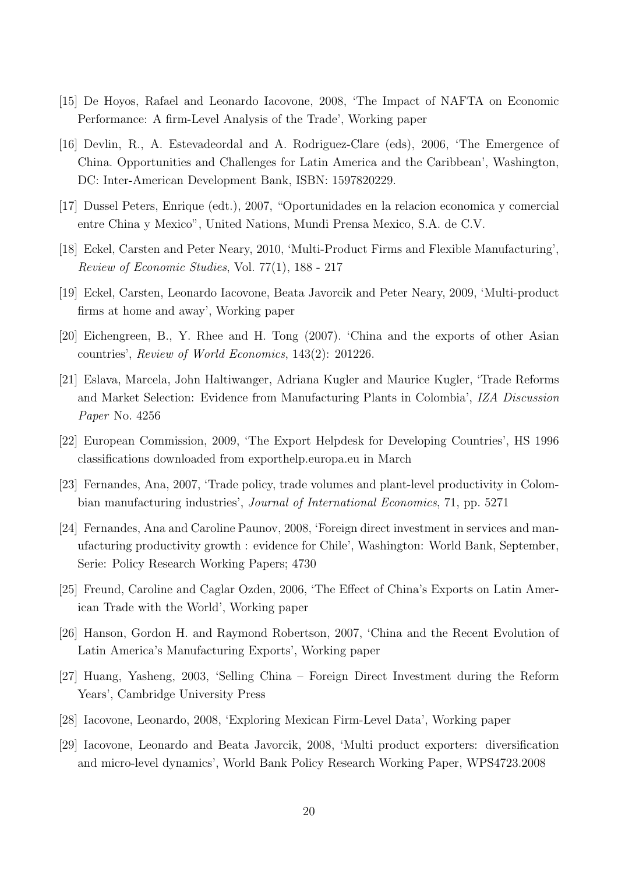- [15] De Hoyos, Rafael and Leonardo Iacovone, 2008, 'The Impact of NAFTA on Economic Performance: A firm-Level Analysis of the Trade', Working paper
- [16] Devlin, R., A. Estevadeordal and A. Rodriguez-Clare (eds), 2006, 'The Emergence of China. Opportunities and Challenges for Latin America and the Caribbean', Washington, DC: Inter-American Development Bank, ISBN: 1597820229.
- [17] Dussel Peters, Enrique (edt.), 2007, "Oportunidades en la relacion economica y comercial entre China y Mexico", United Nations, Mundi Prensa Mexico, S.A. de C.V.
- [18] Eckel, Carsten and Peter Neary, 2010, 'Multi-Product Firms and Flexible Manufacturing', Review of Economic Studies, Vol. 77(1), 188 - 217
- [19] Eckel, Carsten, Leonardo Iacovone, Beata Javorcik and Peter Neary, 2009, 'Multi-product firms at home and away', Working paper
- [20] Eichengreen, B., Y. Rhee and H. Tong (2007). 'China and the exports of other Asian countries', Review of World Economics, 143(2): 201226.
- [21] Eslava, Marcela, John Haltiwanger, Adriana Kugler and Maurice Kugler, 'Trade Reforms and Market Selection: Evidence from Manufacturing Plants in Colombia', IZA Discussion Paper No. 4256
- [22] European Commission, 2009, 'The Export Helpdesk for Developing Countries', HS 1996 classifications downloaded from exporthelp.europa.eu in March
- [23] Fernandes, Ana, 2007, 'Trade policy, trade volumes and plant-level productivity in Colombian manufacturing industries', Journal of International Economics, 71, pp. 5271
- [24] Fernandes, Ana and Caroline Paunov, 2008, 'Foreign direct investment in services and manufacturing productivity growth : evidence for Chile', Washington: World Bank, September, Serie: Policy Research Working Papers; 4730
- [25] Freund, Caroline and Caglar Ozden, 2006, 'The Effect of China's Exports on Latin American Trade with the World', Working paper
- [26] Hanson, Gordon H. and Raymond Robertson, 2007, 'China and the Recent Evolution of Latin America's Manufacturing Exports', Working paper
- [27] Huang, Yasheng, 2003, 'Selling China Foreign Direct Investment during the Reform Years', Cambridge University Press
- [28] Iacovone, Leonardo, 2008, 'Exploring Mexican Firm-Level Data', Working paper
- [29] Iacovone, Leonardo and Beata Javorcik, 2008, 'Multi product exporters: diversification and micro-level dynamics', World Bank Policy Research Working Paper, WPS4723.2008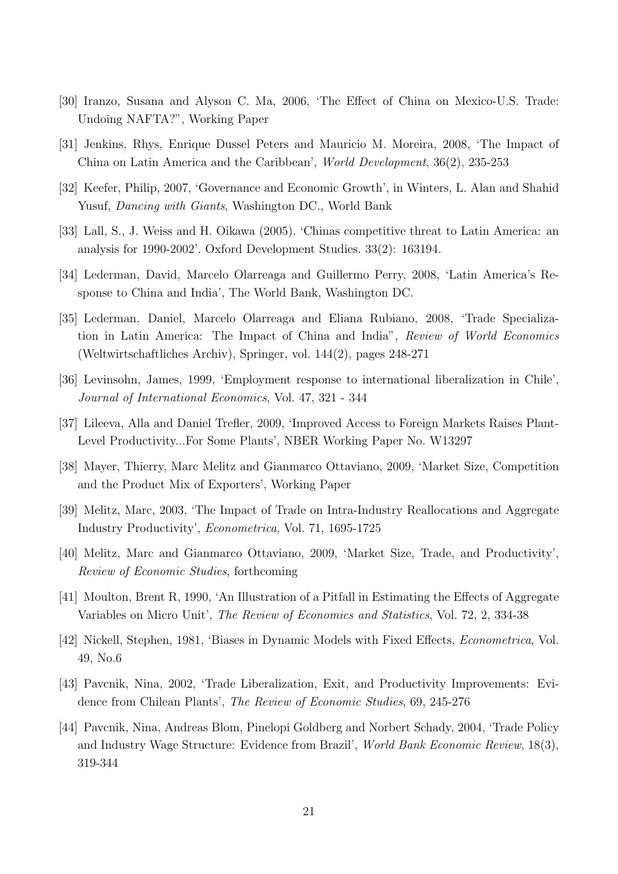- [30] Iranzo, Susana and Alyson C. Ma, 2006, 'The Effect of China on Mexico-U.S. Trade: Undoing NAFTA?", Working Paper
- [31] Jenkins, Rhys, Enrique Dussel Peters and Mauricio M. Moreira, 2008, 'The Impact of China on Latin America and the Caribbean', World Development, 36(2), 235-253
- [32] Keefer, Philip, 2007, 'Governance and Economic Growth', in Winters, L. Alan and Shahid Yusuf, Dancing with Giants, Washington DC., World Bank
- [33] Lall, S., J. Weiss and H. Oikawa (2005). 'Chinas competitive threat to Latin America: an analysis for 1990-2002'. Oxford Development Studies. 33(2): 163194.
- [34] Lederman, David, Marcelo Olarreaga and Guillermo Perry, 2008, 'Latin America's Response to China and India', The World Bank, Washington DC.
- [35] Lederman, Daniel, Marcelo Olarreaga and Eliana Rubiano, 2008, 'Trade Specialization in Latin America: The Impact of China and India", Review of World Economics (Weltwirtschaftliches Archiv), Springer, vol. 144(2), pages 248-271
- [36] Levinsohn, James, 1999, 'Employment response to international liberalization in Chile', Journal of International Economics, Vol. 47, 321 - 344
- [37] Lileeva, Alla and Daniel Trefler, 2009, 'Improved Access to Foreign Markets Raises Plant-Level Productivity...For Some Plants', NBER Working Paper No. W13297
- [38] Mayer, Thierry, Marc Melitz and Gianmarco Ottaviano, 2009, 'Market Size, Competition and the Product Mix of Exporters', Working Paper
- [39] Melitz, Marc, 2003, 'The Impact of Trade on Intra-Industry Reallocations and Aggregate Industry Productivity', Econometrica, Vol. 71, 1695-1725
- [40] Melitz, Marc and Gianmarco Ottaviano, 2009, 'Market Size, Trade, and Productivity', Review of Economic Studies, forthcoming
- [41] Moulton, Brent R, 1990, 'An Illustration of a Pitfall in Estimating the Effects of Aggregate Variables on Micro Unit', The Review of Economics and Statistics, Vol. 72, 2, 334-38
- [42] Nickell, Stephen, 1981, 'Biases in Dynamic Models with Fixed Effects, Econometrica, Vol. 49, No.6
- [43] Pavcnik, Nina, 2002, 'Trade Liberalization, Exit, and Productivity Improvements: Evidence from Chilean Plants', The Review of Economic Studies, 69, 245-276
- [44] Pavcnik, Nina, Andreas Blom, Pinelopi Goldberg and Norbert Schady, 2004, 'Trade Policy and Industry Wage Structure: Evidence from Brazil', World Bank Economic Review, 18(3), 319-344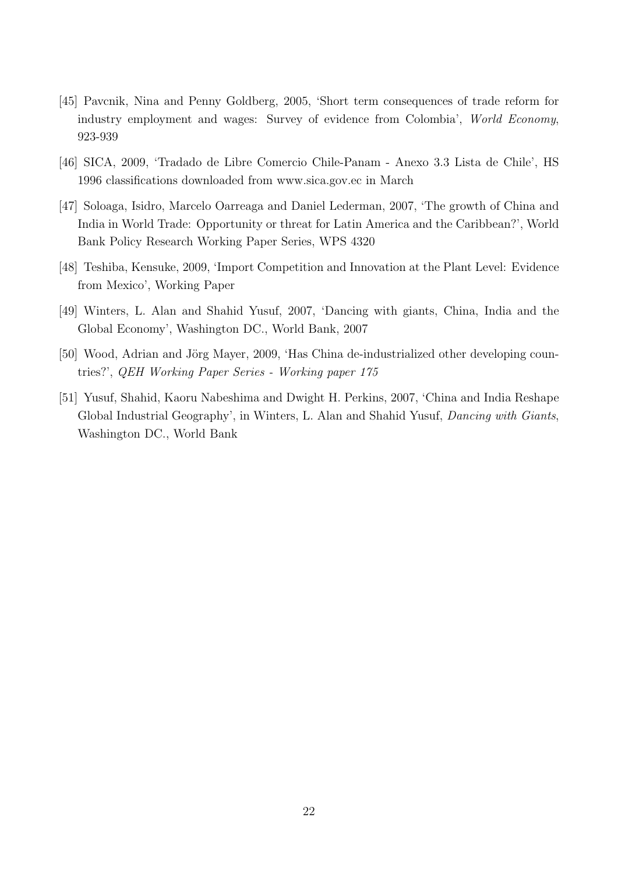- [45] Pavcnik, Nina and Penny Goldberg, 2005, 'Short term consequences of trade reform for industry employment and wages: Survey of evidence from Colombia', World Economy, 923-939
- [46] SICA, 2009, 'Tradado de Libre Comercio Chile-Panam Anexo 3.3 Lista de Chile', HS 1996 classifications downloaded from www.sica.gov.ec in March
- [47] Soloaga, Isidro, Marcelo Oarreaga and Daniel Lederman, 2007, 'The growth of China and India in World Trade: Opportunity or threat for Latin America and the Caribbean?', World Bank Policy Research Working Paper Series, WPS 4320
- [48] Teshiba, Kensuke, 2009, 'Import Competition and Innovation at the Plant Level: Evidence from Mexico', Working Paper
- [49] Winters, L. Alan and Shahid Yusuf, 2007, 'Dancing with giants, China, India and the Global Economy', Washington DC., World Bank, 2007
- [50] Wood, Adrian and Jörg Mayer, 2009, 'Has China de-industrialized other developing countries?', QEH Working Paper Series - Working paper 175
- [51] Yusuf, Shahid, Kaoru Nabeshima and Dwight H. Perkins, 2007, 'China and India Reshape Global Industrial Geography', in Winters, L. Alan and Shahid Yusuf, Dancing with Giants, Washington DC., World Bank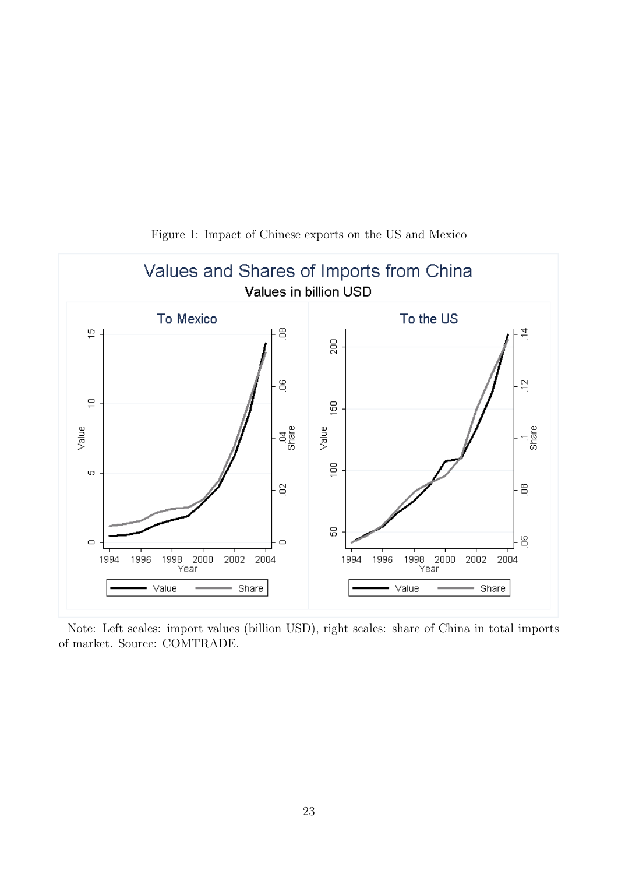<span id="page-23-0"></span>

Figure 1: Impact of Chinese exports on the US and Mexico

Note: Left scales: import values (billion USD), right scales: share of China in total imports of market. Source: COMTRADE.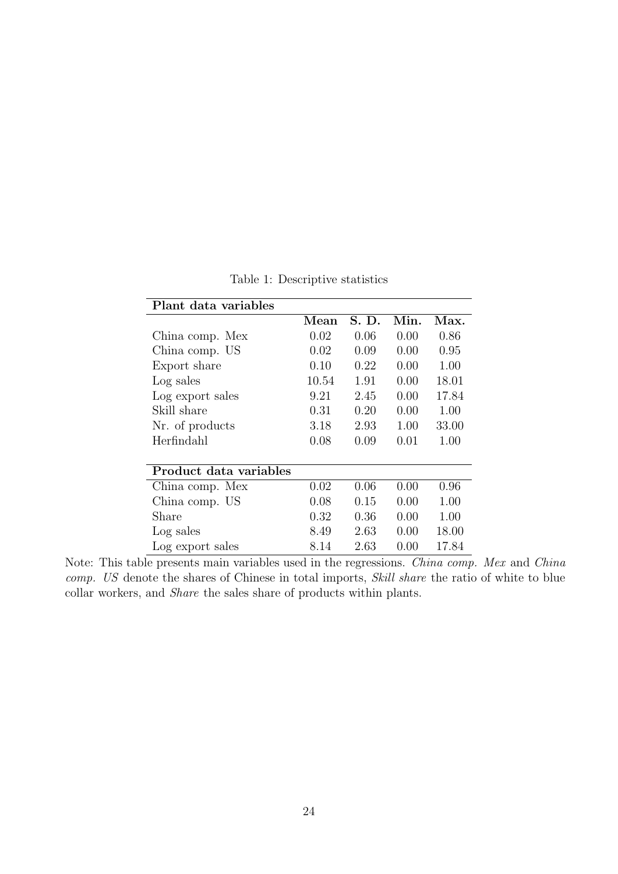<span id="page-24-0"></span>

| Plant data variables   |                      |       |      |       |
|------------------------|----------------------|-------|------|-------|
|                        | $\bm{\mathrm{Mean}}$ | S. D. | Min. | Max.  |
| China comp. Mex        | 0.02                 | 0.06  | 0.00 | 0.86  |
| China comp. US         | 0.02                 | 0.09  | 0.00 | 0.95  |
| Export share           | 0.10                 | 0.22  | 0.00 | 1.00  |
| Log sales              | 10.54                | 1.91  | 0.00 | 18.01 |
| Log export sales       | 9.21                 | 2.45  | 0.00 | 17.84 |
| Skill share            | 0.31                 | 0.20  | 0.00 | 1.00  |
| Nr. of products        | 3.18                 | 2.93  | 1.00 | 33.00 |
| Herfindahl             | 0.08                 | 0.09  | 0.01 | 1.00  |
|                        |                      |       |      |       |
| Product data variables |                      |       |      |       |
| China comp. Mex        | 0.02                 | 0.06  | 0.00 | 0.96  |
| China comp. US         | 0.08                 | 0.15  | 0.00 | 1.00  |
| Share                  | 0.32                 | 0.36  | 0.00 | 1.00  |
| Log sales              | 8.49                 | 2.63  | 0.00 | 18.00 |
| Log export sales       | 8.14                 | 2.63  | 0.00 | 17.84 |

Table 1: Descriptive statistics

Note: This table presents main variables used in the regressions. China comp. Mex and China comp. US denote the shares of Chinese in total imports, Skill share the ratio of white to blue collar workers, and Share the sales share of products within plants.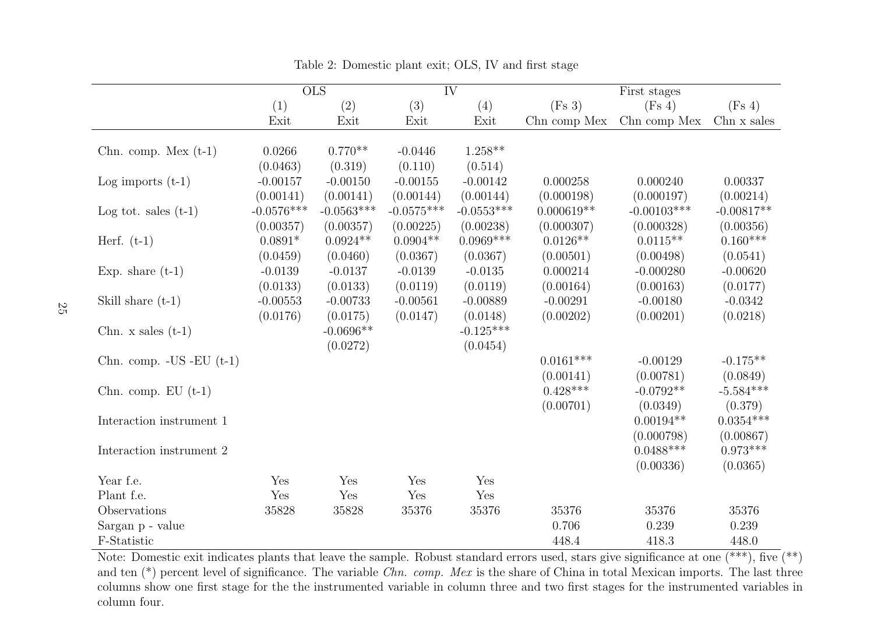|                                |              | $\overline{\text{OLS}}$ |              | $\overline{\text{IV}}$ |              | First stages  |              |
|--------------------------------|--------------|-------------------------|--------------|------------------------|--------------|---------------|--------------|
|                                | (1)          | (2)                     | (3)          | (4)                    | (Fs 3)       | (Fs 4)        | (Fs 4)       |
|                                | Exit         | Exit                    | Exit         | Exit                   | Chn comp Mex | Chn comp Mex  | Chn x sales  |
|                                |              |                         |              |                        |              |               |              |
| Chn. comp. Mex $(t-1)$         | 0.0266       | $0.770**$               | $-0.0446$    | $1.258**$              |              |               |              |
|                                | (0.0463)     | (0.319)                 | (0.110)      | (0.514)                |              |               |              |
| Log imports $(t-1)$            | $-0.00157$   | $-0.00150$              | $-0.00155$   | $-0.00142$             | 0.000258     | 0.000240      | 0.00337      |
|                                | (0.00141)    | (0.00141)               | (0.00144)    | (0.00144)              | (0.000198)   | (0.000197)    | (0.00214)    |
| Log tot. sales $(t-1)$         | $-0.0576***$ | $-0.0563***$            | $-0.0575***$ | $-0.0553***$           | $0.000619**$ | $-0.00103***$ | $-0.00817**$ |
|                                | (0.00357)    | (0.00357)               | (0.00225)    | (0.00238)              | (0.000307)   | (0.000328)    | (0.00356)    |
| Herf. $(t-1)$                  | $0.0891*$    | $0.0924**$              | $0.0904**$   | $0.0969***$            | $0.0126**$   | $0.0115**$    | $0.160***$   |
|                                | (0.0459)     | (0.0460)                | (0.0367)     | (0.0367)               | (0.00501)    | (0.00498)     | (0.0541)     |
| Exp. share $(t-1)$             | $-0.0139$    | $-0.0137$               | $-0.0139$    | $-0.0135$              | 0.000214     | $-0.000280$   | $-0.00620$   |
|                                | (0.0133)     | (0.0133)                | (0.0119)     | (0.0119)               | (0.00164)    | (0.00163)     | (0.0177)     |
| Skill share $(t-1)$            | $-0.00553$   | $-0.00733$              | $-0.00561$   | $-0.00889$             | $-0.00291$   | $-0.00180$    | $-0.0342$    |
|                                | (0.0176)     | (0.0175)                | (0.0147)     | (0.0148)               | (0.00202)    | (0.00201)     | (0.0218)     |
| Chn. $x$ sales $(t-1)$         |              | $-0.0696**$             |              | $-0.125***$            |              |               |              |
|                                |              | (0.0272)                |              | (0.0454)               |              |               |              |
| Chn. comp. $-US$ $-EU$ $(t-1)$ |              |                         |              |                        | $0.0161***$  | $-0.00129$    | $-0.175**$   |
|                                |              |                         |              |                        | (0.00141)    | (0.00781)     | (0.0849)     |
| Chn. comp. $EU(t-1)$           |              |                         |              |                        | $0.428***$   | $-0.0792**$   | $-5.584***$  |
|                                |              |                         |              |                        | (0.00701)    | (0.0349)      | (0.379)      |
| Interaction instrument 1       |              |                         |              |                        |              | $0.00194**$   | $0.0354***$  |
|                                |              |                         |              |                        |              | (0.000798)    | (0.00867)    |
| Interaction instrument 2       |              |                         |              |                        |              | $0.0488***$   | $0.973***$   |
|                                |              |                         |              |                        |              | (0.00336)     | (0.0365)     |
| Year f.e.                      | Yes          | Yes                     | Yes          | Yes                    |              |               |              |
| Plant f.e.                     | Yes          | Yes                     | Yes          | Yes                    |              |               |              |
| Observations                   | 35828        | 35828                   | 35376        | 35376                  | 35376        | 35376         | 35376        |
| Sargan p - value               |              |                         |              |                        | 0.706        | 0.239         | 0.239        |
|                                |              |                         |              |                        |              |               |              |
| F-Statistic                    |              |                         |              |                        | 448.4        | 418.3         | 448.0        |

<span id="page-25-0"></span>Table 2: Domestic <sup>p</sup>lant exit; OLS, IV and first stage

Note: Domestic exit indicates plants that leave the sample. Robust standard errors used, stars give significance at one (\*\*\*), five (\*\*) and ten  $(*)$  percent level of significance. The variable *Chn. comp. Mex* is the share of China in total Mexican imports. The last three columns show one first stage for the the instrumented variable in column three and two first stages for the instrumented variables incolumn four.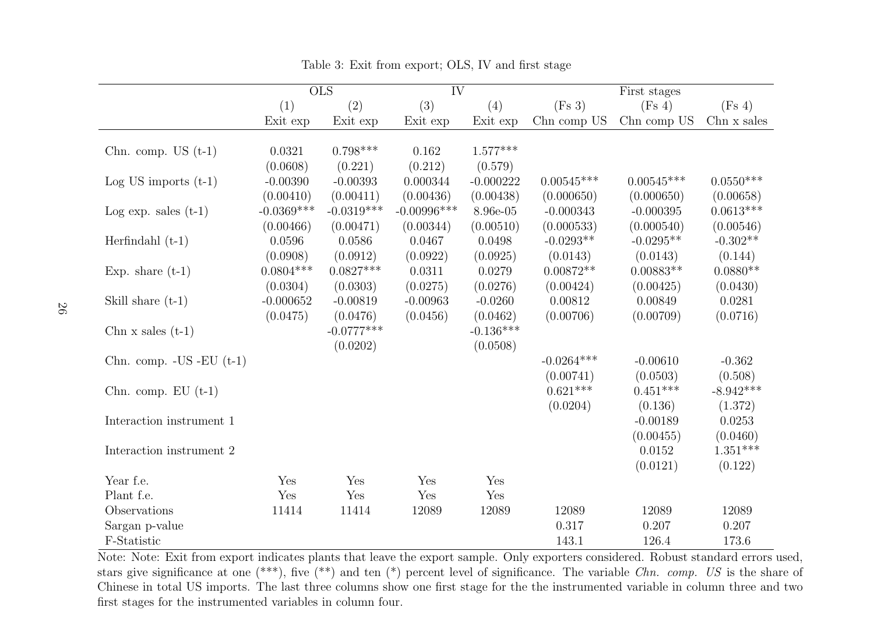|                              |              | $\overline{\mathrm{OLS}}$ | $\overline{\text{IV}}$ |             |              | First stages |             |
|------------------------------|--------------|---------------------------|------------------------|-------------|--------------|--------------|-------------|
|                              | (1)          | (2)                       | (3)                    | (4)         | (Fs 3)       | (Fs 4)       | (Fs 4)      |
|                              | Exit exp     | Exit exp                  | Exit exp               | Exit exp    | Chn comp US  | Chn comp US  | Chn x sales |
|                              |              |                           |                        |             |              |              |             |
| Chn. comp. US $(t-1)$        | 0.0321       | $0.798***$                | 0.162                  | $1.577***$  |              |              |             |
|                              | (0.0608)     | (0.221)                   | (0.212)                | (0.579)     |              |              |             |
| Log US imports $(t-1)$       | $-0.00390$   | $-0.00393$                | 0.000344               | $-0.000222$ | $0.00545***$ | $0.00545***$ | $0.0550***$ |
|                              | (0.00410)    | (0.00411)                 | (0.00436)              | (0.00438)   | (0.000650)   | (0.000650)   | (0.00658)   |
| Log exp. sales $(t-1)$       | $-0.0369***$ | $-0.0319***$              | $-0.00996$ ***         | 8.96e-05    | $-0.000343$  | $-0.000395$  | $0.0613***$ |
|                              | (0.00466)    | (0.00471)                 | (0.00344)              | (0.00510)   | (0.000533)   | (0.000540)   | (0.00546)   |
| Herfindahl $(t-1)$           | 0.0596       | 0.0586                    | 0.0467                 | 0.0498      | $-0.0293**$  | $-0.0295**$  | $-0.302**$  |
|                              | (0.0908)     | (0.0912)                  | (0.0922)               | (0.0925)    | (0.0143)     | (0.0143)     | (0.144)     |
| Exp. share $(t-1)$           | $0.0804***$  | $0.0827***$               | 0.0311                 | 0.0279      | $0.00872**$  | $0.00883**$  | $0.0880**$  |
|                              | (0.0304)     | (0.0303)                  | (0.0275)               | (0.0276)    | (0.00424)    | (0.00425)    | (0.0430)    |
| Skill share $(t-1)$          | $-0.000652$  | $-0.00819$                | $-0.00963$             | $-0.0260$   | 0.00812      | 0.00849      | 0.0281      |
|                              | (0.0475)     | (0.0476)                  | (0.0456)               | (0.0462)    | (0.00706)    | (0.00709)    | (0.0716)    |
| Chn $x$ sales $(t-1)$        |              | $-0.0777***$              |                        | $-0.136***$ |              |              |             |
|                              |              | (0.0202)                  |                        | (0.0508)    |              |              |             |
| Chn. comp. $-US$ $-EU$ (t-1) |              |                           |                        |             | $-0.0264***$ | $-0.00610$   | $-0.362$    |
|                              |              |                           |                        |             | (0.00741)    | (0.0503)     | (0.508)     |
| Chn. comp. $EU(t-1)$         |              |                           |                        |             | $0.621***$   | $0.451***$   | $-8.942***$ |
|                              |              |                           |                        |             | (0.0204)     | (0.136)      | (1.372)     |
| Interaction instrument 1     |              |                           |                        |             |              | $-0.00189$   | 0.0253      |
|                              |              |                           |                        |             |              | (0.00455)    | (0.0460)    |
|                              |              |                           |                        |             |              |              |             |
| Interaction instrument 2     |              |                           |                        |             |              | 0.0152       | $1.351***$  |
|                              |              |                           |                        |             |              | (0.0121)     | (0.122)     |
| Year f.e.                    | Yes          | Yes                       | Yes                    | Yes         |              |              |             |
| Plant f.e.                   | Yes          | Yes                       | Yes                    | Yes         |              |              |             |
| Observations                 | 11414        | 11414                     | 12089                  | 12089       | 12089        | 12089        | 12089       |
| Sargan p-value               |              |                           |                        |             | 0.317        | 0.207        | 0.207       |
| F-Statistic                  |              |                           |                        |             | 143.1        | 126.4        | 173.6       |

Table 3: Exit from export; OLS, IV and first stage

<span id="page-26-0"></span> Note: Note: Exit from export indicates <sup>p</sup>lants that leave the export sample. Only exporters considered. Robust standard errors used,stars give significance at one  $(*^{**})$ , five  $(*^*)$  and ten  $(*)$  percent level of significance. The variable *Chn. comp. US* is the share of Chinese in total US imports. The last three columns show one first stage for the the instrumented variable in column three and twofirst stages for the instrumented variables in column four.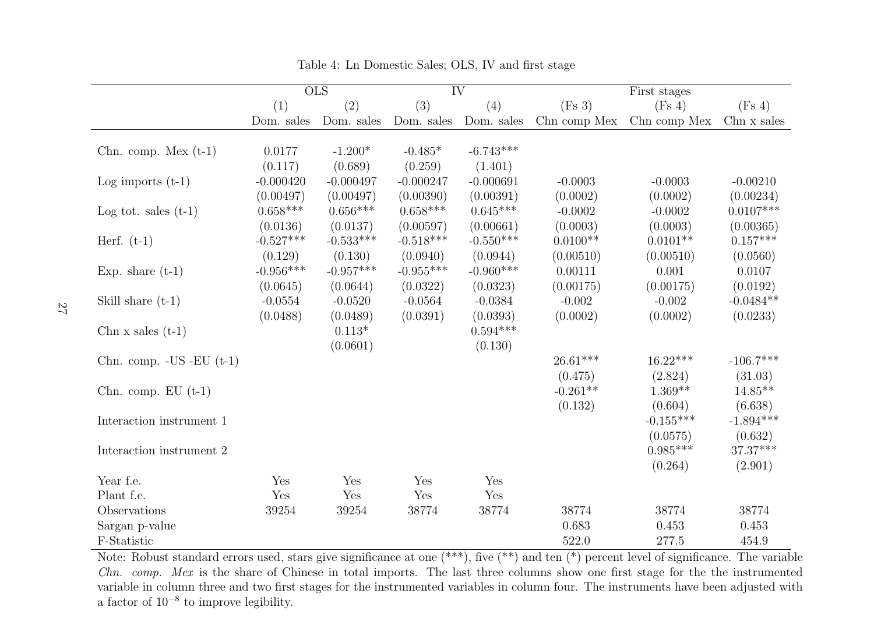|                                                                                                                                                   |             | $\overline{\text{OLS}}$ | $\overline{\text{IV}}$ |             |              | First stages |             |
|---------------------------------------------------------------------------------------------------------------------------------------------------|-------------|-------------------------|------------------------|-------------|--------------|--------------|-------------|
|                                                                                                                                                   | (1)         | (2)                     | (3)                    | (4)         | (Fs 3)       | (Fs 4)       | (Fs 4)      |
|                                                                                                                                                   | Dom. sales  | Dom. sales              | Dom. sales             | Dom. sales  | Chn comp Mex | Chn comp Mex | Chn x sales |
| Chn. comp. Mex $(t-1)$                                                                                                                            | 0.0177      | $-1.200*$               | $-0.485*$              | $-6.743***$ |              |              |             |
|                                                                                                                                                   | (0.117)     | (0.689)                 | (0.259)                | (1.401)     |              |              |             |
| Log imports $(t-1)$                                                                                                                               | $-0.000420$ | $-0.000497$             | $-0.000247$            | $-0.000691$ | $-0.0003$    | $-0.0003$    | $-0.00210$  |
|                                                                                                                                                   | (0.00497)   | (0.00497)               | (0.00390)              | (0.00391)   | (0.0002)     | (0.0002)     | (0.00234)   |
| Log tot. sales $(t-1)$                                                                                                                            | $0.658***$  | $0.656***$              | $0.658***$             | $0.645***$  | $-0.0002$    | $-0.0002$    | $0.0107***$ |
|                                                                                                                                                   | (0.0136)    | (0.0137)                | (0.00597)              | (0.00661)   | (0.0003)     | (0.0003)     | (0.00365)   |
| Herf. $(t-1)$                                                                                                                                     | $-0.527***$ | $-0.533***$             | $-0.518***$            | $-0.550***$ | $0.0100**$   | $0.0101**$   | $0.157***$  |
|                                                                                                                                                   | (0.129)     | (0.130)                 | (0.0940)               | (0.0944)    | (0.00510)    | (0.00510)    | (0.0560)    |
| Exp. share $(t-1)$                                                                                                                                | $-0.956***$ | $-0.957***$             | $-0.955***$            | $-0.960***$ | 0.00111      | 0.001        | 0.0107      |
|                                                                                                                                                   | (0.0645)    | (0.0644)                | (0.0322)               | (0.0323)    | (0.00175)    | (0.00175)    | (0.0192)    |
| Skill share $(t-1)$                                                                                                                               | $-0.0554$   | $-0.0520$               | $-0.0564$              | $-0.0384$   | $-0.002$     | $-0.002$     | $-0.0484**$ |
|                                                                                                                                                   | (0.0488)    | (0.0489)                | (0.0391)               | (0.0393)    | (0.0002)     | (0.0002)     | (0.0233)    |
| Chn $x$ sales $(t-1)$                                                                                                                             |             | $0.113*$                |                        | $0.594***$  |              |              |             |
|                                                                                                                                                   |             | (0.0601)                |                        | (0.130)     |              |              |             |
| Chn. comp. $-US$ $-EU$ $(t-1)$                                                                                                                    |             |                         |                        |             | $26.61***$   | $16.22***$   | $-106.7***$ |
|                                                                                                                                                   |             |                         |                        |             | (0.475)      | (2.824)      | (31.03)     |
| Chn. comp. $EU(t-1)$                                                                                                                              |             |                         |                        |             | $-0.261**$   | $1.369**$    | $14.85***$  |
|                                                                                                                                                   |             |                         |                        |             | (0.132)      | (0.604)      | (6.638)     |
| Interaction instrument 1                                                                                                                          |             |                         |                        |             |              | $-0.155***$  | $-1.894***$ |
|                                                                                                                                                   |             |                         |                        |             |              | (0.0575)     | (0.632)     |
| Interaction instrument 2                                                                                                                          |             |                         |                        |             |              | $0.985***$   | 37.37***    |
|                                                                                                                                                   |             |                         |                        |             |              | (0.264)      | (2.901)     |
| Year f.e.                                                                                                                                         | Yes         | Yes                     | Yes                    | Yes         |              |              |             |
| Plant f.e.                                                                                                                                        | Yes         | Yes                     | Yes                    | Yes         |              |              |             |
| Observations                                                                                                                                      | 39254       | 39254                   | 38774                  | 38774       | 38774        | 38774        | 38774       |
| Sargan p-value                                                                                                                                    |             |                         |                        |             | 0.683        | 0.453        | 0.453       |
| F-Statistic                                                                                                                                       |             |                         |                        |             | 522.0        | 277.5        | 454.9       |
| Note: Robust standard errors used, stars give significance at one $(***)$ , five $(**)$ and ten $(*)$ percent level of significance. The variable |             |                         |                        |             |              |              |             |

Table 4: Ln Domestic Sales; OLS, IV and first stage

<span id="page-27-0"></span> Chn. comp. Mex is the share of Chinese in total imports. The last three columns show one first stage for the the instrumented variable in column three and two first stages for the instrumented variables in column four. The instruments have been adjusted with<sup>a</sup> factor of <sup>10</sup>−<sup>8</sup> to improve legibility.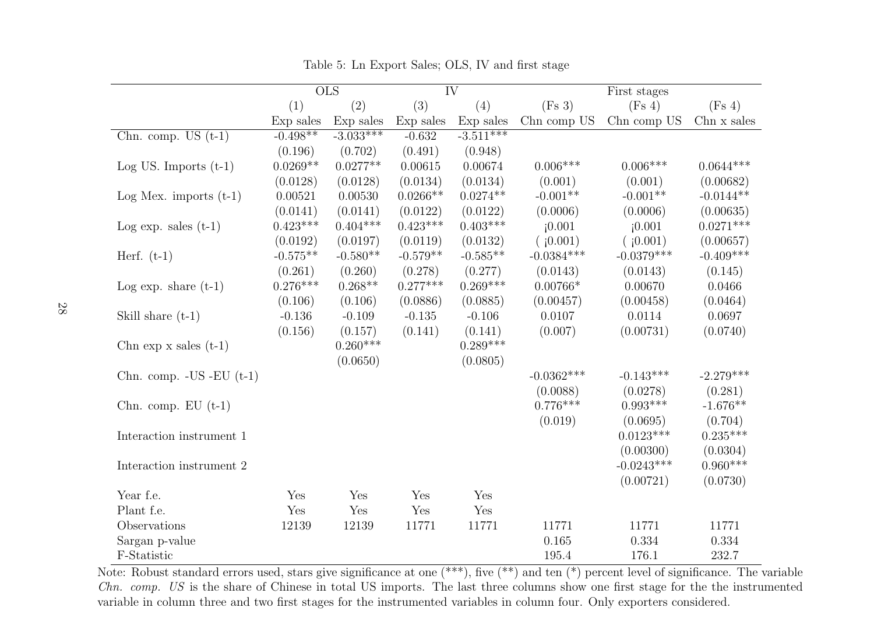|                              |            | $\overline{\mathrm{OLS}}$ | $\overline{\text{IV}}$ |             |              | First stages |             |
|------------------------------|------------|---------------------------|------------------------|-------------|--------------|--------------|-------------|
|                              | (1)        | (2)                       | (3)                    | (4)         | (Fs 3)       | (Fs 4)       | (Fs 4)      |
|                              | Exp sales  | Exp sales                 | Exp sales              | Exp sales   | Chn comp US  | Chn comp US  | Chn x sales |
| Chn. comp. US $(t-1)$        | $-0.498**$ | $-3.033***$               | $-0.632$               | $-3.511***$ |              |              |             |
|                              | (0.196)    | (0.702)                   | (0.491)                | (0.948)     |              |              |             |
| $Log US.$ Imports $(t-1)$    | $0.0269**$ | $0.0277**$                | 0.00615                | 0.00674     | $0.006***$   | $0.006***$   | $0.0644***$ |
|                              | (0.0128)   | (0.0128)                  | (0.0134)               | (0.0134)    | (0.001)      | (0.001)      | (0.00682)   |
| Log Mex. imports $(t-1)$     | 0.00521    | 0.00530                   | $0.0266**$             | $0.0274**$  | $-0.001**$   | $-0.001**$   | $-0.0144**$ |
|                              | (0.0141)   | (0.0141)                  | (0.0122)               | (0.0122)    | (0.0006)     | (0.0006)     | (0.00635)   |
| Log exp. sales $(t-1)$       | $0.423***$ | $0.404***$                | $0.423***$             | $0.403***$  | (0.001)      | (0.001)      | $0.0271***$ |
|                              | (0.0192)   | (0.0197)                  | (0.0119)               | (0.0132)    | (10.001)     | (10.001)     | (0.00657)   |
| Herf. $(t-1)$                | $-0.575**$ | $-0.580**$                | $-0.579**$             | $-0.585**$  | $-0.0384***$ | $-0.0379***$ | $-0.409***$ |
|                              | (0.261)    | (0.260)                   | (0.278)                | (0.277)     | (0.0143)     | (0.0143)     | (0.145)     |
| Log exp. share $(t-1)$       | $0.276***$ | $0.268**$                 | $0.277***$             | $0.269***$  | $0.00766*$   | 0.00670      | 0.0466      |
|                              | (0.106)    | (0.106)                   | (0.0886)               | (0.0885)    | (0.00457)    | (0.00458)    | (0.0464)    |
| Skill share $(t-1)$          | $-0.136$   | $-0.109$                  | $-0.135$               | $-0.106$    | 0.0107       | 0.0114       | 0.0697      |
|                              | (0.156)    | (0.157)                   | (0.141)                | (0.141)     | (0.007)      | (0.00731)    | (0.0740)    |
| Chn exp $x$ sales $(t-1)$    |            | $0.260***$                |                        | $0.289***$  |              |              |             |
|                              |            | (0.0650)                  |                        | (0.0805)    |              |              |             |
| Chn. comp. $-US$ $-EU$ (t-1) |            |                           |                        |             | $-0.0362***$ | $-0.143***$  | $-2.279***$ |
|                              |            |                           |                        |             | (0.0088)     | (0.0278)     | (0.281)     |
| Chn. comp. $EU(t-1)$         |            |                           |                        |             | $0.776***$   | $0.993***$   | $-1.676**$  |
|                              |            |                           |                        |             | (0.019)      | (0.0695)     | (0.704)     |
| Interaction instrument 1     |            |                           |                        |             |              | $0.0123***$  | $0.235***$  |
|                              |            |                           |                        |             |              | (0.00300)    | (0.0304)    |
| Interaction instrument 2     |            |                           |                        |             |              | $-0.0243***$ | $0.960***$  |
|                              |            |                           |                        |             |              | (0.00721)    | (0.0730)    |
| Year f.e.                    | Yes        | Yes                       | Yes                    | Yes         |              |              |             |
| Plant f.e.                   | Yes        | Yes                       | Yes                    | Yes         |              |              |             |
| Observations                 | 12139      | 12139                     | 11771                  | 11771       | 11771        | 11771        | 11771       |
| Sargan p-value               |            |                           |                        |             | 0.165        | 0.334        | 0.334       |
| F-Statistic                  |            |                           |                        |             | 195.4        | 176.1        | 232.7       |

Table 5: Ln Export Sales; OLS, IV and first stage

<span id="page-28-0"></span>Note: Robust standard errors used, stars give significance at one (\*\*\*), five (\*\*) and ten (\*) percent level of significance. The variable Chn. comp. US is the share of Chinese in total US imports. The last three columns show one first stage for the the instrumented variable in column three and two first stages for the instrumented variables in column four. Only exporters considered.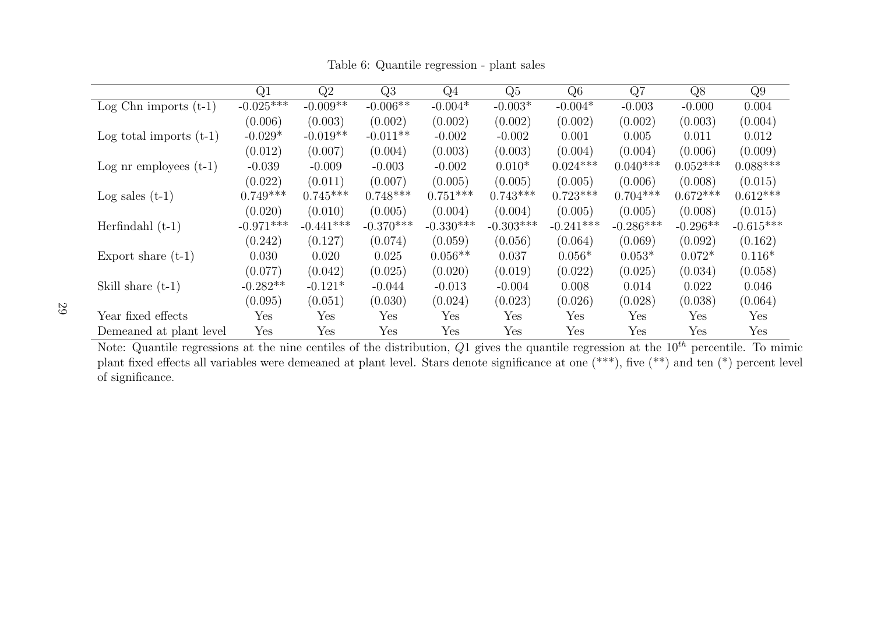|                           | Q1          | Q2          | Q3                   | Q4          | Q5          | Q <sub>6</sub> | Q7          | Q8         | Q9          |
|---------------------------|-------------|-------------|----------------------|-------------|-------------|----------------|-------------|------------|-------------|
| Log Chn imports $(t-1)$   | $-0.025***$ | $-0.009**$  | $-0.006**$           | $-0.004*$   | $-0.003*$   | $-0.004*$      | $-0.003$    | $-0.000$   | 0.004       |
|                           | (0.006)     | (0.003)     | (0.002)              | (0.002)     | (0.002)     | (0.002)        | (0.002)     | (0.003)    | (0.004)     |
| Log total imports $(t-1)$ | $-0.029*$   | $-0.019**$  | $-0.011**$           | $-0.002$    | $-0.002$    | 0.001          | 0.005       | 0.011      | 0.012       |
|                           | (0.012)     | (0.007)     | (0.004)              | (0.003)     | (0.003)     | (0.004)        | (0.004)     | (0.006)    | (0.009)     |
| Log nr employees $(t-1)$  | $-0.039$    | $-0.009$    | $-0.003$             | $-0.002$    | $0.010*$    | $0.024***$     | $0.040***$  | $0.052***$ | $0.088***$  |
|                           | (0.022)     | (0.011)     | (0.007)              | (0.005)     | (0.005)     | (0.005)        | (0.006)     | (0.008)    | (0.015)     |
| Log sales $(t-1)$         | $0.749***$  | $0.745***$  | $0.748***$           | $0.751***$  | $0.743***$  | $0.723***$     | $0.704***$  | $0.672***$ | $0.612***$  |
|                           | (0.020)     | (0.010)     | (0.005)              | (0.004)     | (0.004)     | (0.005)        | (0.005)     | (0.008)    | (0.015)     |
| Herfindahl $(t-1)$        | $-0.971***$ | $-0.441***$ | $-0.370***$          | $-0.330***$ | $-0.303***$ | $-0.241***$    | $-0.286***$ | $-0.296**$ | $-0.615***$ |
|                           | (0.242)     | (0.127)     | (0.074)              | (0.059)     | (0.056)     | (0.064)        | (0.069)     | (0.092)    | (0.162)     |
| Export share $(t-1)$      | 0.030       | 0.020       | 0.025                | $0.056**$   | 0.037       | $0.056*$       | $0.053*$    | $0.072*$   | $0.116*$    |
|                           | (0.077)     | (0.042)     | (0.025)              | (0.020)     | (0.019)     | (0.022)        | (0.025)     | (0.034)    | (0.058)     |
| Skill share $(t-1)$       | $-0.282**$  | $-0.121*$   | $-0.044$             | $-0.013$    | $-0.004$    | 0.008          | 0.014       | 0.022      | 0.046       |
|                           | (0.095)     | (0.051)     | (0.030)              | (0.024)     | (0.023)     | (0.026)        | (0.028)     | (0.038)    | (0.064)     |
| Year fixed effects        | Yes         | Yes         | $\operatorname{Yes}$ | Yes         | Yes         | Yes            | Yes         | Yes        | Yes         |
| Demeaned at plant level   | Yes         | Yes         | $\operatorname{Yes}$ | Yes         | Yes         | Yes            | Yes         | Yes        | Yes         |

Table 6: Quantile regression - <sup>p</sup>lant sales

<span id="page-29-0"></span>Note: Quantile regressions at the nine centiles of the distribution,  $Q1$  gives the quantile regression at the  $10^{th}$  percentile. To mimic <sup>p</sup>lant fixed effects all variables were demeaned at <sup>p</sup>lant level. Stars denote significance at one (\*\*\*), five (\*\*) and ten (\*) percent level of significance.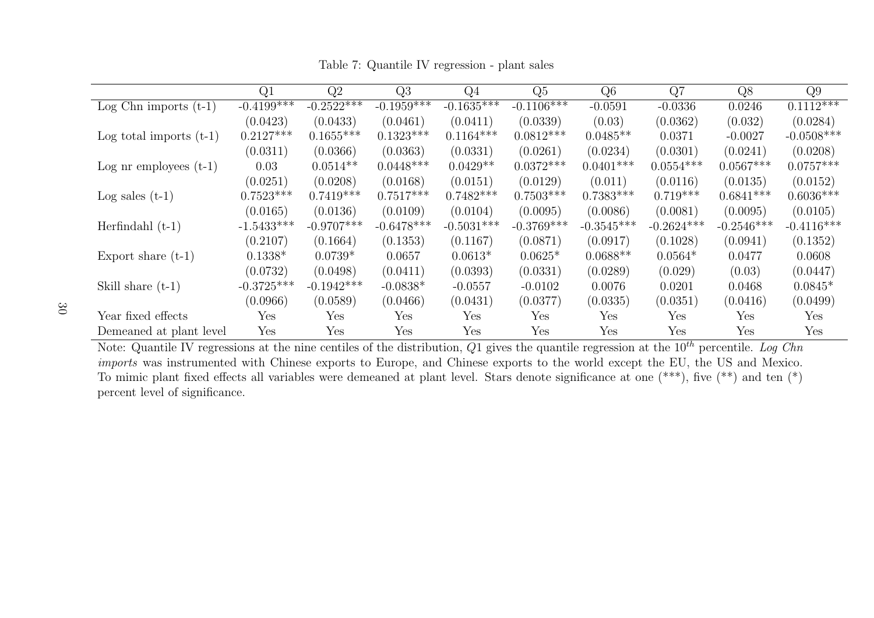Table 7: Quantile IV regression - <sup>p</sup>lant sales

|                           | Q1            | Q2                   | Q3            | $Q_4$        | Q5                   | Q6                   | Q7                   | Q8           | Q9                   |
|---------------------------|---------------|----------------------|---------------|--------------|----------------------|----------------------|----------------------|--------------|----------------------|
| Log Chn imports $(t-1)$   | $-0.4199$ *** | $-0.2522***$         | $-0.1959$ *** | $-0.1635***$ | $-0.1106***$         | $-0.0591$            | $-0.0336$            | 0.0246       | $0.1112***$          |
|                           | (0.0423)      | (0.0433)             | (0.0461)      | (0.0411)     | (0.0339)             | (0.03)               | (0.0362)             | (0.032)      | (0.0284)             |
| Log total imports $(t-1)$ | $0.2127***$   | $0.1655***$          | $0.1323***$   | $0.1164***$  | $0.0812***$          | $0.0485**$           | 0.0371               | $-0.0027$    | $-0.0508***$         |
|                           | (0.0311)      | (0.0366)             | (0.0363)      | (0.0331)     | (0.0261)             | (0.0234)             | (0.0301)             | (0.0241)     | (0.0208)             |
| Log nr employees $(t-1)$  | 0.03          | $0.0514**$           | $0.0448***$   | $0.0429**$   | $0.0372***$          | $0.0401***$          | $0.0554***$          | $0.0567***$  | $0.0757***$          |
|                           | (0.0251)      | (0.0208)             | (0.0168)      | (0.0151)     | (0.0129)             | (0.011)              | (0.0116)             | (0.0135)     | (0.0152)             |
| Log sales $(t-1)$         | $0.7523***$   | $0.7419***$          | $0.7517***$   | $0.7482***$  | $0.7503***$          | $0.7383***$          | $0.719***$           | $0.6841***$  | $0.6036***$          |
|                           | (0.0165)      | (0.0136)             | (0.0109)      | (0.0104)     | (0.0095)             | (0.0086)             | (0.0081)             | (0.0095)     | (0.0105)             |
| Herfindahl $(t-1)$        | $-1.5433***$  | $-0.9707***$         | $-0.6478***$  | $-0.5031***$ | $-0.3769***$         | $-0.3545***$         | $-0.2624***$         | $-0.2546***$ | $-0.4116***$         |
|                           | (0.2107)      | (0.1664)             | (0.1353)      | (0.1167)     | (0.0871)             | (0.0917)             | (0.1028)             | (0.0941)     | (0.1352)             |
| Export share $(t-1)$      | $0.1338*$     | $0.0739*$            | 0.0657        | $0.0613*$    | $0.0625*$            | $0.0688**$           | $0.0564*$            | 0.0477       | 0.0608               |
|                           | (0.0732)      | (0.0498)             | (0.0411)      | (0.0393)     | (0.0331)             | (0.0289)             | (0.029)              | (0.03)       | (0.0447)             |
| Skill share $(t-1)$       | $-0.3725***$  | $-0.1942***$         | $-0.0838*$    | $-0.0557$    | $-0.0102$            | 0.0076               | 0.0201               | 0.0468       | $0.0845*$            |
|                           | (0.0966)      | (0.0589)             | (0.0466)      | (0.0431)     | (0.0377)             | (0.0335)             | (0.0351)             | (0.0416)     | (0.0499)             |
| Year fixed effects        | Yes           | Yes                  | Yes           | Yes          | Yes                  | $\operatorname{Yes}$ | $\operatorname{Yes}$ | Yes          | Yes                  |
| Demeaned at plant level   | Yes           | $\operatorname{Yes}$ | Yes           | Yes          | $\operatorname{Yes}$ | Yes                  | Yes                  | Yes          | $\operatorname{Yes}$ |

<span id="page-30-0"></span>Note: Quantile IV regressions at the nine centiles of the distribution,  $Q1$  gives the quantile regression at the  $10^{th}$  percentile. Log Chn imports was instrumented with Chinese exports to Europe, and Chinese exports to the world except the EU, the US and Mexico. To mimic plant fixed effects all variables were demeaned at plant level. Stars denote significance at one  $(**)$ , five  $(**)$  and ten  $(*)$ percent level of significance.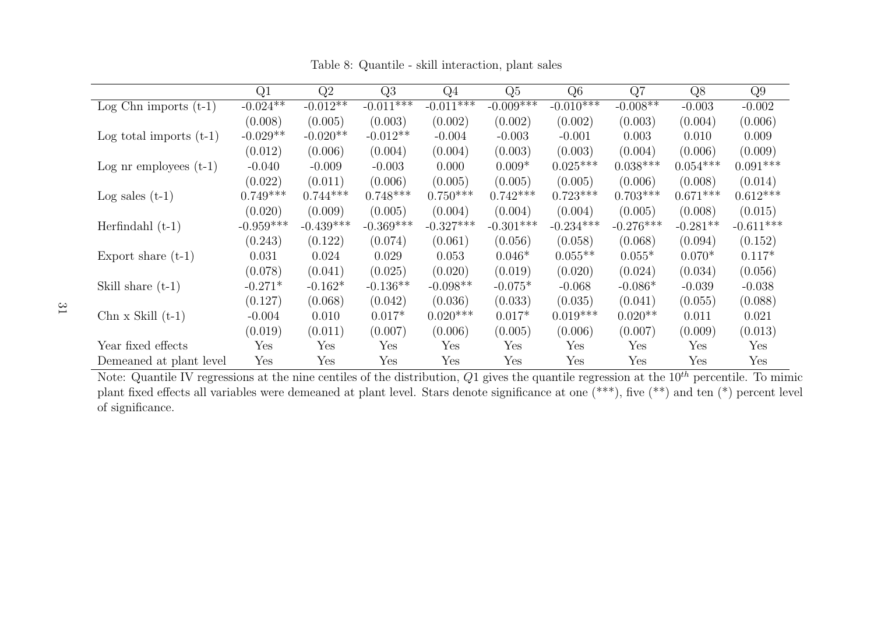|                                           | Q1                   | Q2          | Q3          | Q <sub>4</sub> | Q5                   | Q <sub>6</sub> | Q7          | Q8                   | Q9          |
|-------------------------------------------|----------------------|-------------|-------------|----------------|----------------------|----------------|-------------|----------------------|-------------|
| $\overline{\text{Log}}$ Chn imports (t-1) | $-0.024**$           | $-0.012**$  | $-0.011***$ | $-0.011***$    | $-0.009***$          | $-0.010***$    | $-0.008**$  | $-0.003$             | $-0.002$    |
|                                           | (0.008)              | (0.005)     | (0.003)     | (0.002)        | (0.002)              | (0.002)        | (0.003)     | (0.004)              | (0.006)     |
| Log total imports $(t-1)$                 | $-0.029**$           | $-0.020**$  | $-0.012**$  | $-0.004$       | $-0.003$             | $-0.001$       | 0.003       | 0.010                | 0.009       |
|                                           | (0.012)              | (0.006)     | (0.004)     | (0.004)        | (0.003)              | (0.003)        | (0.004)     | (0.006)              | (0.009)     |
| Log nr employees $(t-1)$                  | $-0.040$             | $-0.009$    | $-0.003$    | 0.000          | $0.009*$             | $0.025***$     | $0.038***$  | $0.054***$           | $0.091***$  |
|                                           | (0.022)              | (0.011)     | (0.006)     | (0.005)        | (0.005)              | (0.005)        | (0.006)     | (0.008)              | (0.014)     |
| Log sales $(t-1)$                         | $0.749***$           | $0.744***$  | $0.748***$  | $0.750***$     | $0.742***$           | $0.723***$     | $0.703***$  | $0.671***$           | $0.612***$  |
|                                           | (0.020)              | (0.009)     | (0.005)     | (0.004)        | (0.004)              | (0.004)        | (0.005)     | (0.008)              | (0.015)     |
| Herfindahl $(t-1)$                        | $-0.959***$          | $-0.439***$ | $-0.369***$ | $-0.327***$    | $-0.301***$          | $-0.234***$    | $-0.276***$ | $-0.281**$           | $-0.611***$ |
|                                           | (0.243)              | (0.122)     | (0.074)     | (0.061)        | (0.056)              | (0.058)        | (0.068)     | (0.094)              | (0.152)     |
| Export share $(t-1)$                      | 0.031                | 0.024       | 0.029       | 0.053          | $0.046*$             | $0.055**$      | $0.055*$    | $0.070*$             | $0.117*$    |
|                                           | (0.078)              | (0.041)     | (0.025)     | (0.020)        | (0.019)              | (0.020)        | (0.024)     | (0.034)              | (0.056)     |
| Skill share $(t-1)$                       | $-0.271*$            | $-0.162*$   | $-0.136**$  | $-0.098**$     | $-0.075*$            | $-0.068$       | $-0.086*$   | $-0.039$             | $-0.038$    |
|                                           | (0.127)              | (0.068)     | (0.042)     | (0.036)        | (0.033)              | (0.035)        | (0.041)     | (0.055)              | (0.088)     |
| $Chn \times Skill (t-1)$                  | $-0.004$             | 0.010       | $0.017*$    | $0.020***$     | $0.017*$             | $0.019***$     | $0.020**$   | 0.011                | 0.021       |
|                                           | (0.019)              | (0.011)     | (0.007)     | (0.006)        | (0.005)              | (0.006)        | (0.007)     | (0.009)              | (0.013)     |
| Year fixed effects                        | $\operatorname{Yes}$ | Yes         | Yes         | Yes            | $\operatorname{Yes}$ | Yes            | Yes         | Yes                  | Yes         |
| Demeaned at plant level                   | Yes                  | Yes         | Yes         | Yes            | Yes                  | Yes            | Yes         | $\operatorname{Yes}$ | Yes         |

Table 8: Quantile - skill interaction, plant sales

<span id="page-31-0"></span>Note: Quantile IV regressions at the nine centiles of the distribution,  $Q1$  gives the quantile regression at the  $10^{th}$  percentile. To mimic <sup>p</sup>lant fixed effects all variables were demeaned at <sup>p</sup>lant level. Stars denote significance at one (\*\*\*), five (\*\*) and ten (\*) percent level of significance.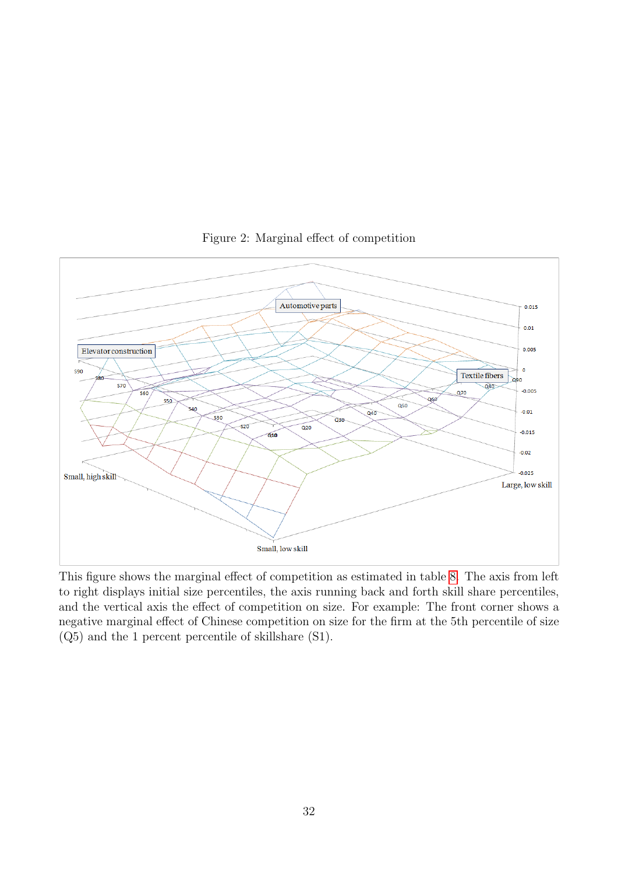<span id="page-32-0"></span>

Figure 2: Marginal effect of competition

This figure shows the marginal effect of competition as estimated in table [8.](#page-31-0) The axis from left to right displays initial size percentiles, the axis running back and forth skill share percentiles, and the vertical axis the effect of competition on size. For example: The front corner shows a negative marginal effect of Chinese competition on size for the firm at the 5th percentile of size (Q5) and the 1 percent percentile of skillshare (S1).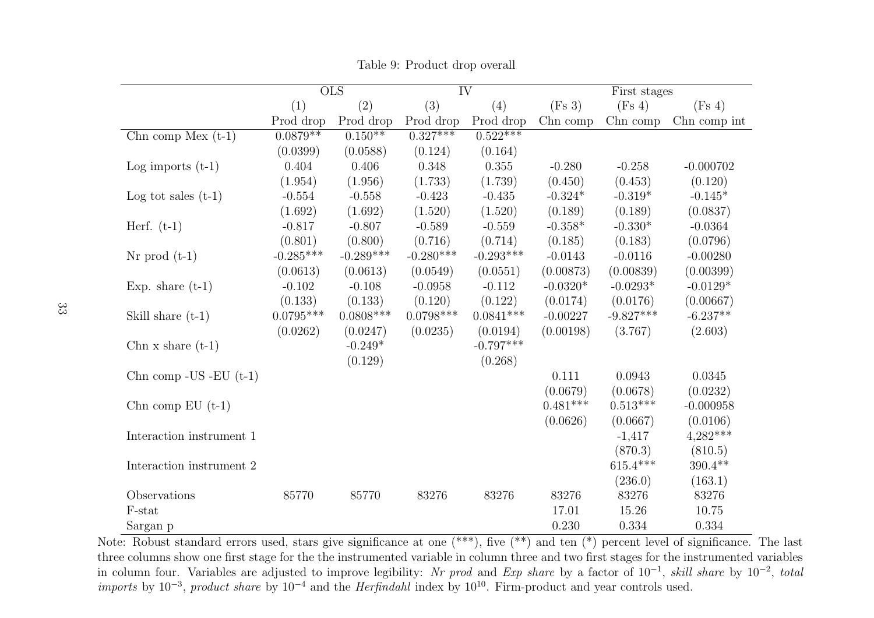|                              |             | $\overline{\mathrm{OLS}}$ |             | $\overline{\text{IV}}$ |            | First stages |              |
|------------------------------|-------------|---------------------------|-------------|------------------------|------------|--------------|--------------|
|                              | (1)         | (2)                       | (3)         | (4)                    | (Fs 3)     | (Fs 4)       | (Fs 4)       |
|                              | Prod drop   | Prod drop                 | Prod drop   | Prod drop              | Chn comp   | Chn comp     | Chn comp int |
| Chn comp Mex $(t-1)$         | $0.0879**$  | $0.150**$                 | $0.327***$  | $0.522***$             |            |              |              |
|                              | (0.0399)    | (0.0588)                  | (0.124)     | (0.164)                |            |              |              |
| Log imports $(t-1)$          | 0.404       | 0.406                     | 0.348       | 0.355                  | $-0.280$   | $-0.258$     | $-0.000702$  |
|                              | (1.954)     | (1.956)                   | (1.733)     | (1.739)                | (0.450)    | (0.453)      | (0.120)      |
| Log tot sales $(t-1)$        | $-0.554$    | $-0.558$                  | $-0.423$    | $-0.435$               | $-0.324*$  | $-0.319*$    | $-0.145*$    |
|                              | (1.692)     | (1.692)                   | (1.520)     | (1.520)                | (0.189)    | (0.189)      | (0.0837)     |
| Herf. $(t-1)$                | $-0.817$    | $-0.807$                  | $-0.589$    | $-0.559$               | $-0.358*$  | $-0.330*$    | $-0.0364$    |
|                              | (0.801)     | (0.800)                   | (0.716)     | (0.714)                | (0.185)    | (0.183)      | (0.0796)     |
| $Nr$ prod $(t-1)$            | $-0.285***$ | $-0.289***$               | $-0.280***$ | $-0.293***$            | $-0.0143$  | $-0.0116$    | $-0.00280$   |
|                              | (0.0613)    | (0.0613)                  | (0.0549)    | (0.0551)               | (0.00873)  | (0.00839)    | (0.00399)    |
| Exp. share $(t-1)$           | $-0.102$    | $-0.108$                  | $-0.0958$   | $-0.112$               | $-0.0320*$ | $-0.0293*$   | $-0.0129*$   |
|                              | (0.133)     | (0.133)                   | (0.120)     | (0.122)                | (0.0174)   | (0.0176)     | (0.00667)    |
| Skill share $(t-1)$          | $0.0795***$ | $0.0808$ ***              | $0.0798***$ | $0.0841***$            | $-0.00227$ | $-9.827***$  | $-6.237**$   |
|                              | (0.0262)    | (0.0247)                  | (0.0235)    | (0.0194)               | (0.00198)  | (3.767)      | (2.603)      |
| Chn x share $(t-1)$          |             | $-0.249*$                 |             | $-0.797***$            |            |              |              |
|                              |             | (0.129)                   |             | (0.268)                |            |              |              |
| Chn comp - $US$ - $EU$ (t-1) |             |                           |             |                        | 0.111      | 0.0943       | 0.0345       |
|                              |             |                           |             |                        | (0.0679)   | (0.0678)     | (0.0232)     |
| Chn comp $EU(t-1)$           |             |                           |             |                        | $0.481***$ | $0.513***$   | $-0.000958$  |
|                              |             |                           |             |                        | (0.0626)   | (0.0667)     | (0.0106)     |
| Interaction instrument 1     |             |                           |             |                        |            | $-1,417$     | $4,282***$   |
|                              |             |                           |             |                        |            | (870.3)      | (810.5)      |
| Interaction instrument 2     |             |                           |             |                        |            | $615.4***$   | $390.4**$    |
|                              |             |                           |             |                        |            | (236.0)      | (163.1)      |
| Observations                 | 85770       | 85770                     | 83276       | 83276                  | 83276      | 83276        | 83276        |
| F-stat                       |             |                           |             |                        | 17.01      | 15.26        | 10.75        |
| Sargan p                     |             |                           |             |                        | 0.230      | 0.334        | 0.334        |

<span id="page-33-0"></span>Table 9: Product drop overall

Note: Robust standard errors used, stars give significance at one (\*\*\*), five (\*\*) and ten (\*) percent level of significance. The last three columns show one first stage for the the instrumented variable in column three and two first stages for the instrumented variablesin column four. Variables are adjusted to improve legibility: Nr prod and Exp share by a factor of  $10^{-1}$ , skill share by  $10^{-2}$ , total imports by  $10^{-3}$ , product share by  $10^{-4}$  and the Herfindahl index by  $10^{10}$ . Firm-product and year controls used.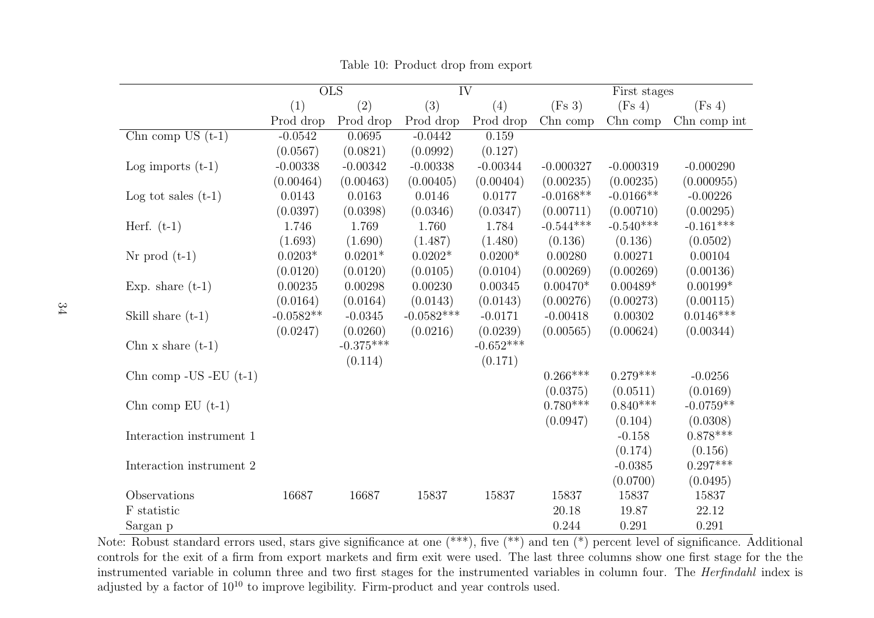|                               |             | $\overline{\mathrm{OLS}}$ |              | $\overline{\text{IV}}$ |             | First stages |              |
|-------------------------------|-------------|---------------------------|--------------|------------------------|-------------|--------------|--------------|
|                               | (1)         | (2)                       | (3)          | (4)                    | (Fs 3)      | (Fs 4)       | (Fs 4)       |
|                               | Prod drop   | Prod drop                 | Prod drop    | Prod drop              | Chn comp    | Chn comp     | Chn comp int |
| Chn comp $\overline{US(t-1)}$ | $-0.0542$   | 0.0695                    | $-0.0442$    | 0.159                  |             |              |              |
|                               | (0.0567)    | (0.0821)                  | (0.0992)     | (0.127)                |             |              |              |
| Log imports $(t-1)$           | $-0.00338$  | $-0.00342$                | $-0.00338$   | $-0.00344$             | $-0.000327$ | $-0.000319$  | $-0.000290$  |
|                               | (0.00464)   | (0.00463)                 | (0.00405)    | (0.00404)              | (0.00235)   | (0.00235)    | (0.000955)   |
| Log tot sales $(t-1)$         | 0.0143      | 0.0163                    | 0.0146       | 0.0177                 | $-0.0168**$ | $-0.0166**$  | $-0.00226$   |
|                               | (0.0397)    | (0.0398)                  | (0.0346)     | (0.0347)               | (0.00711)   | (0.00710)    | (0.00295)    |
| Herf. $(t-1)$                 | 1.746       | 1.769                     | 1.760        | 1.784                  | $-0.544***$ | $-0.540***$  | $-0.161***$  |
|                               | (1.693)     | (1.690)                   | (1.487)      | (1.480)                | (0.136)     | (0.136)      | (0.0502)     |
| $Nr$ prod $(t-1)$             | $0.0203*$   | $0.0201*$                 | $0.0202*$    | $0.0200*$              | 0.00280     | 0.00271      | 0.00104      |
|                               | (0.0120)    | (0.0120)                  | (0.0105)     | (0.0104)               | (0.00269)   | (0.00269)    | (0.00136)    |
| Exp. share $(t-1)$            | 0.00235     | 0.00298                   | 0.00230      | 0.00345                | $0.00470*$  | $0.00489*$   | $0.00199*$   |
|                               | (0.0164)    | (0.0164)                  | (0.0143)     | (0.0143)               | (0.00276)   | (0.00273)    | (0.00115)    |
| Skill share $(t-1)$           | $-0.0582**$ | $-0.0345$                 | $-0.0582***$ | $-0.0171$              | $-0.00418$  | 0.00302      | $0.0146***$  |
|                               | (0.0247)    | (0.0260)                  | (0.0216)     | (0.0239)               | (0.00565)   | (0.00624)    | (0.00344)    |
| Chn $x \text{ share } (t-1)$  |             | $-0.375***$               |              | $-0.652***$            |             |              |              |
|                               |             | (0.114)                   |              | (0.171)                |             |              |              |
| Chn comp - $US$ - $EU$ (t-1)  |             |                           |              |                        | $0.266***$  | $0.279***$   | $-0.0256$    |
|                               |             |                           |              |                        | (0.0375)    | (0.0511)     | (0.0169)     |
| Chn comp $EU(t-1)$            |             |                           |              |                        | $0.780***$  | $0.840***$   | $-0.0759**$  |
|                               |             |                           |              |                        | (0.0947)    | (0.104)      | (0.0308)     |
| Interaction instrument 1      |             |                           |              |                        |             | $-0.158$     | $0.878***$   |
|                               |             |                           |              |                        |             | (0.174)      | (0.156)      |
| Interaction instrument 2      |             |                           |              |                        |             | $-0.0385$    | $0.297***$   |
|                               |             |                           |              |                        |             | (0.0700)     | (0.0495)     |
| Observations                  | 16687       | 16687                     | 15837        | 15837                  | 15837       | 15837        | 15837        |
| F statistic                   |             |                           |              |                        | 20.18       | 19.87        | 22.12        |
| Sargan p                      |             |                           |              |                        | 0.244       | 0.291        | 0.291        |

<span id="page-34-0"></span>Table 10: Product drop from export

Note: Robust standard errors used, stars give significance at one (\*\*\*), five (\*\*) and ten (\*) percent level of significance. Additional controls for the exit of <sup>a</sup> firm from export markets and firm exit were used. The last three columns show one first stage for the the instrumented variable in column three and two first stages for the instrumented variables in column four. The Herfindahl index is adjusted by a factor of  $10^{10}$  to improve legibility. Firm-product and year controls used.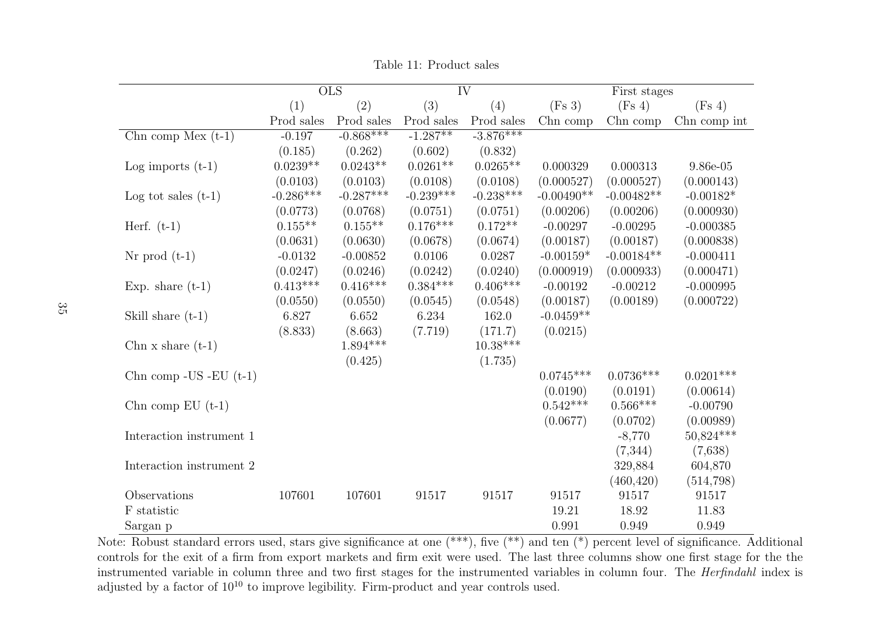|                              |             | $\overline{\text{OLS}}$ |             | $\overline{\text{IV}}$ |              | First stages |              |
|------------------------------|-------------|-------------------------|-------------|------------------------|--------------|--------------|--------------|
|                              | (1)         | (2)                     | (3)         | (4)                    | (Fs 3)       | (Fs 4)       | (Fs 4)       |
|                              | Prod sales  | Prod sales              | Prod sales  | Prod sales             | Chn comp     | Chn comp     | Chn comp int |
| Chn comp Mex $(t-1)$         | $-0.197$    | $-0.868***$             | $-1.287**$  | $-3.876***$            |              |              |              |
|                              | (0.185)     | (0.262)                 | (0.602)     | (0.832)                |              |              |              |
| Log imports $(t-1)$          | $0.0239**$  | $0.0243**$              | $0.0261**$  | $0.0265**$             | 0.000329     | 0.000313     | $9.86e-05$   |
|                              | (0.0103)    | (0.0103)                | (0.0108)    | (0.0108)               | (0.000527)   | (0.000527)   | (0.000143)   |
| Log tot sales $(t-1)$        | $-0.286***$ | $-0.287***$             | $-0.239***$ | $-0.238***$            | $-0.00490**$ | $-0.00482**$ | $-0.00182*$  |
|                              | (0.0773)    | (0.0768)                | (0.0751)    | (0.0751)               | (0.00206)    | (0.00206)    | (0.000930)   |
| Herf. $(t-1)$                | $0.155***$  | $0.155**$               | $0.176***$  | $0.172**$              | $-0.00297$   | $-0.00295$   | $-0.000385$  |
|                              | (0.0631)    | (0.0630)                | (0.0678)    | (0.0674)               | (0.00187)    | (0.00187)    | (0.000838)   |
| $Nr$ prod $(t-1)$            | $-0.0132$   | $-0.00852$              | 0.0106      | 0.0287                 | $-0.00159*$  | $-0.00184**$ | $-0.000411$  |
|                              | (0.0247)    | (0.0246)                | (0.0242)    | (0.0240)               | (0.000919)   | (0.000933)   | (0.000471)   |
| Exp. share $(t-1)$           | $0.413***$  | $0.416***$              | $0.384***$  | $0.406***$             | $-0.00192$   | $-0.00212$   | $-0.000995$  |
|                              | (0.0550)    | (0.0550)                | (0.0545)    | (0.0548)               | (0.00187)    | (0.00189)    | (0.000722)   |
| Skill share $(t-1)$          | 6.827       | 6.652                   | 6.234       | 162.0                  | $-0.0459**$  |              |              |
|                              | (8.833)     | (8.663)                 | (7.719)     | (171.7)                | (0.0215)     |              |              |
| Chn $x \text{ share } (t-1)$ |             | $1.894***$              |             | $10.38***$             |              |              |              |
|                              |             | (0.425)                 |             | (1.735)                |              |              |              |
| Chn comp - US - EU $(t-1)$   |             |                         |             |                        | $0.0745***$  | $0.0736***$  | $0.0201***$  |
|                              |             |                         |             |                        | (0.0190)     | (0.0191)     | (0.00614)    |
| Chn comp $EU$ (t-1)          |             |                         |             |                        | $0.542***$   | $0.566***$   | $-0.00790$   |
|                              |             |                         |             |                        | (0.0677)     | (0.0702)     | (0.00989)    |
| Interaction instrument 1     |             |                         |             |                        |              | $-8,770$     | $50,824***$  |
|                              |             |                         |             |                        |              | (7,344)      | (7,638)      |
| Interaction instrument 2     |             |                         |             |                        |              | 329,884      | 604,870      |
|                              |             |                         |             |                        |              | (460, 420)   | (514, 798)   |
| Observations                 | 107601      | 107601                  | 91517       | 91517                  | 91517        | 91517        | 91517        |
| F statistic                  |             |                         |             |                        | 19.21        | 18.92        | 11.83        |
| Sargan p                     |             |                         |             |                        | 0.991        | 0.949        | 0.949        |

Table 11: Product sales

<span id="page-35-0"></span>Note: Robust standard errors used, stars give significance at one (\*\*\*), five (\*\*) and ten (\*) percent level of significance. Additional controls for the exit of <sup>a</sup> firm from export markets and firm exit were used. The last three columns show one first stage for the the instrumented variable in column three and two first stages for the instrumented variables in column four. The Herfindahl index is adjusted by a factor of  $10^{10}$  to improve legibility. Firm-product and year controls used.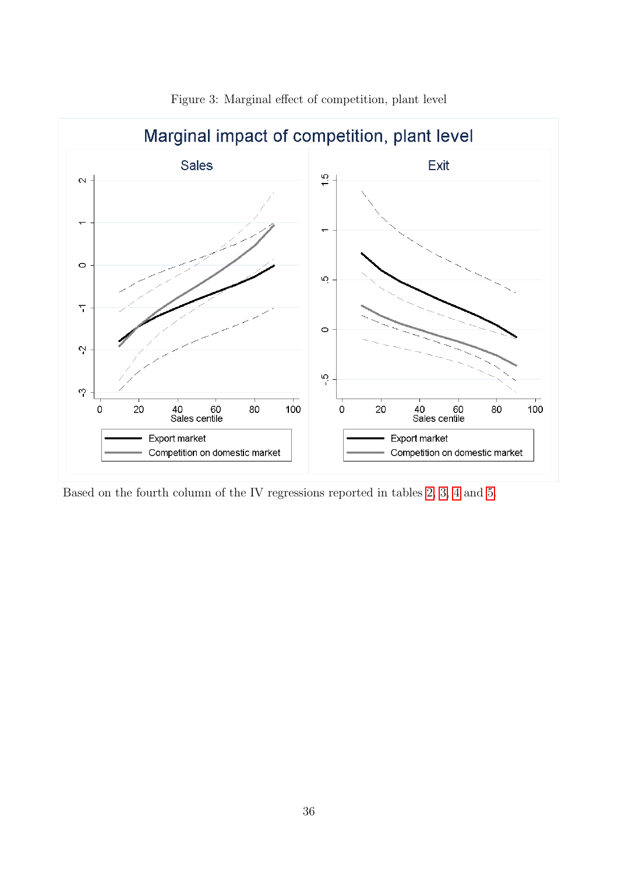<span id="page-36-0"></span>

Figure 3: Marginal effect of competition, plant level

Based on the fourth column of the IV regressions reported in tables [2,](#page-25-0) [3,](#page-26-0) [4](#page-27-0) and [5.](#page-28-0)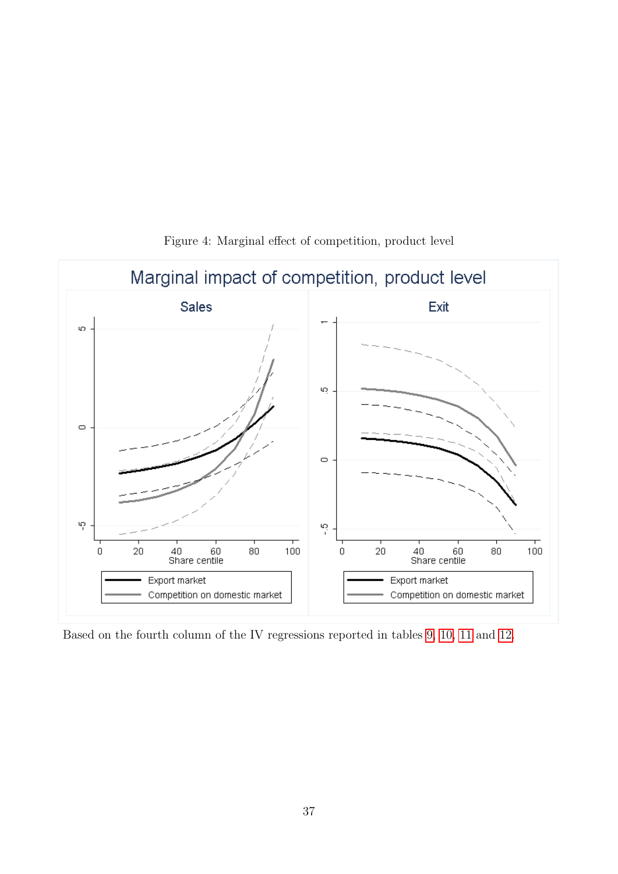<span id="page-37-0"></span>

Figure 4: Marginal effect of competition, product level

Based on the fourth column of the IV regressions reported in tables [9,](#page-33-0) [10,](#page-34-0) [11](#page-35-0) and [12.](#page-38-0)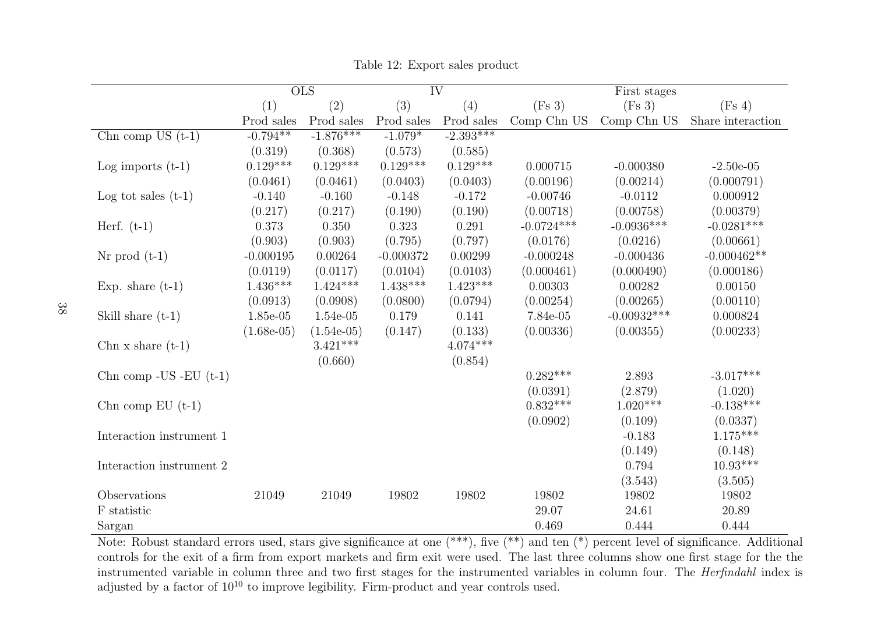|                              |              | $\overline{\mathrm{OLS}}$ | $\overline{\text{IV}}$ |             |              | First stages  |                   |
|------------------------------|--------------|---------------------------|------------------------|-------------|--------------|---------------|-------------------|
|                              | (1)          | (2)                       | (3)                    | (4)         | (Fs 3)       | (Fs 3)        | (Fs 4)            |
|                              | Prod sales   | Prod sales                | Prod sales             | Prod sales  | Comp Chn US  | Comp Chn US   | Share interaction |
| Chn comp US $(t-1)$          | $-0.794**$   | $-1.876***$               | $-1.079*$              | $-2.393***$ |              |               |                   |
|                              | (0.319)      | (0.368)                   | (0.573)                | (0.585)     |              |               |                   |
| Log imports $(t-1)$          | $0.129***$   | $0.129***$                | $0.129***$             | $0.129***$  | 0.000715     | $-0.000380$   | $-2.50e-05$       |
|                              | (0.0461)     | (0.0461)                  | (0.0403)               | (0.0403)    | (0.00196)    | (0.00214)     | (0.000791)        |
| Log tot sales $(t-1)$        | $-0.140$     | $-0.160$                  | $-0.148$               | $-0.172$    | $-0.00746$   | $-0.0112$     | 0.000912          |
|                              | (0.217)      | (0.217)                   | (0.190)                | (0.190)     | (0.00718)    | (0.00758)     | (0.00379)         |
| Herf. $(t-1)$                | 0.373        | 0.350                     | 0.323                  | 0.291       | $-0.0724***$ | $-0.0936***$  | $-0.0281***$      |
|                              | (0.903)      | (0.903)                   | (0.795)                | (0.797)     | (0.0176)     | (0.0216)      | (0.00661)         |
| $Nr$ prod $(t-1)$            | $-0.000195$  | 0.00264                   | $-0.000372$            | 0.00299     | $-0.000248$  | $-0.000436$   | $-0.000462**$     |
|                              | (0.0119)     | (0.0117)                  | (0.0104)               | (0.0103)    | (0.000461)   | (0.000490)    | (0.000186)        |
| Exp. share $(t-1)$           | $1.436***$   | $1.424***$                | $1.438***$             | $1.423***$  | 0.00303      | 0.00282       | 0.00150           |
|                              | (0.0913)     | (0.0908)                  | (0.0800)               | (0.0794)    | (0.00254)    | (0.00265)     | (0.00110)         |
| Skill share $(t-1)$          | 1.85e-05     | 1.54e-05                  | 0.179                  | 0.141       | 7.84e-05     | $-0.00932***$ | 0.000824          |
|                              | $(1.68e-05)$ | $(1.54e-05)$              | (0.147)                | (0.133)     | (0.00336)    | (0.00355)     | (0.00233)         |
| Chn $x \text{ share } (t-1)$ |              | $3.421***$                |                        | $4.074***$  |              |               |                   |
|                              |              | (0.660)                   |                        | (0.854)     |              |               |                   |
| Chn comp - US - EU $(t-1)$   |              |                           |                        |             | $0.282***$   | 2.893         | $-3.017***$       |
|                              |              |                           |                        |             | (0.0391)     | (2.879)       | (1.020)           |
| Chn comp $EU(t-1)$           |              |                           |                        |             | $0.832***$   | $1.020***$    | $-0.138***$       |
|                              |              |                           |                        |             | (0.0902)     | (0.109)       | (0.0337)          |
| Interaction instrument 1     |              |                           |                        |             |              | $-0.183$      | $1.175***$        |
|                              |              |                           |                        |             |              | (0.149)       | (0.148)           |
| Interaction instrument 2     |              |                           |                        |             |              | 0.794         | $10.93***$        |
|                              |              |                           |                        |             |              | (3.543)       | (3.505)           |
| Observations                 | 21049        | 21049                     | 19802                  | 19802       | 19802        | 19802         | 19802             |
| ${\mathcal F}$ statistic     |              |                           |                        |             | 29.07        | 24.61         | 20.89             |
| Sargan                       |              |                           |                        |             | 0.469        | 0.444         | 0.444             |

Table 12: Export sales product

<span id="page-38-0"></span>Note: Robust standard errors used, stars give significance at one (\*\*\*), five (\*\*) and ten (\*) percent level of significance. Additional controls for the exit of <sup>a</sup> firm from export markets and firm exit were used. The last three columns show one first stage for the the instrumented variable in column three and two first stages for the instrumented variables in column four. The Herfindahl index is adjusted by a factor of  $10^{10}$  to improve legibility. Firm-product and year controls used.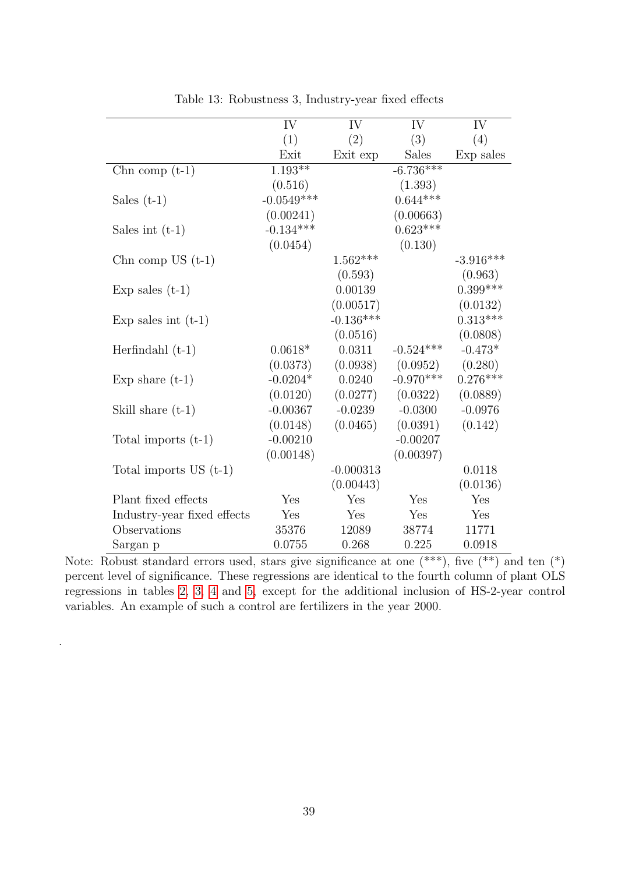<span id="page-39-0"></span>

|                             | IV           | IV          | IV           | IV          |
|-----------------------------|--------------|-------------|--------------|-------------|
|                             | (1)          | (2)         | (3)          | (4)         |
|                             | Exit         | Exit exp    | <b>Sales</b> | Exp sales   |
| Chn comp $(t-1)$            | $1.193**$    |             | $-6.736***$  |             |
|                             | (0.516)      |             | (1.393)      |             |
| Sales $(t-1)$               | $-0.0549***$ |             | $0.644***$   |             |
|                             | (0.00241)    |             | (0.00663)    |             |
| Sales int $(t-1)$           | $-0.134***$  |             | $0.623***$   |             |
|                             | (0.0454)     |             | (0.130)      |             |
| Chn comp US $(t-1)$         |              | $1.562***$  |              | $-3.916***$ |
|                             |              | (0.593)     |              | (0.963)     |
| Exp sales $(t-1)$           |              | 0.00139     |              | $0.399***$  |
|                             |              | (0.00517)   |              | (0.0132)    |
| Exp sales int $(t-1)$       |              | $-0.136***$ |              | $0.313***$  |
|                             |              | (0.0516)    |              | (0.0808)    |
| Herfindahl $(t-1)$          | $0.0618*$    | 0.0311      | $-0.524***$  | $-0.473*$   |
|                             | (0.0373)     | (0.0938)    | (0.0952)     | (0.280)     |
| Exp share $(t-1)$           | $-0.0204*$   | 0.0240      | $-0.970***$  | $0.276***$  |
|                             | (0.0120)     | (0.0277)    | (0.0322)     | (0.0889)    |
| Skill share $(t-1)$         | $-0.00367$   | $-0.0239$   | $-0.0300$    | $-0.0976$   |
|                             | (0.0148)     | (0.0465)    | (0.0391)     | (0.142)     |
| Total imports $(t-1)$       | $-0.00210$   |             | $-0.00207$   |             |
|                             | (0.00148)    |             | (0.00397)    |             |
| Total imports $US(t-1)$     |              | $-0.000313$ |              | 0.0118      |
|                             |              | (0.00443)   |              | (0.0136)    |
| Plant fixed effects         | Yes          | Yes         | Yes          | Yes         |
| Industry-year fixed effects | Yes          | Yes         | Yes          | Yes         |
| Observations                | 35376        | 12089       | 38774        | 11771       |
| Sargan p                    | 0.0755       | 0.268       | 0.225        | 0.0918      |

Table 13: Robustness 3, Industry-year fixed effects

Note: Robust standard errors used, stars give significance at one  $(**)$ , five  $(**)$  and ten  $(*)$ percent level of significance. These regressions are identical to the fourth column of plant OLS regressions in tables [2,](#page-25-0) [3,](#page-26-0) [4](#page-27-0) and [5,](#page-28-0) except for the additional inclusion of HS-2-year control variables. An example of such a control are fertilizers in the year 2000.

.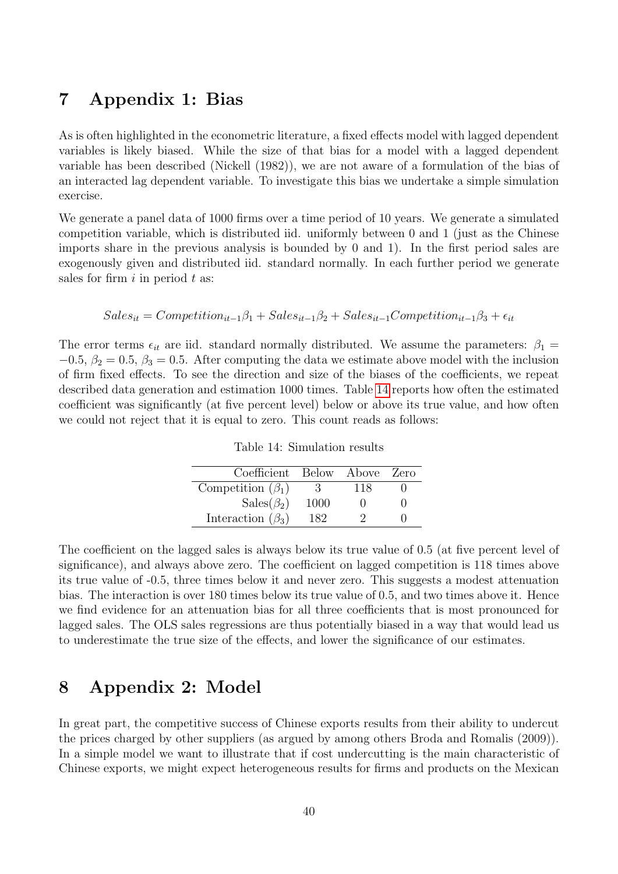### 7 Appendix 1: Bias

As is often highlighted in the econometric literature, a fixed effects model with lagged dependent variables is likely biased. While the size of that bias for a model with a lagged dependent variable has been described (Nickell (1982)), we are not aware of a formulation of the bias of an interacted lag dependent variable. To investigate this bias we undertake a simple simulation exercise.

We generate a panel data of 1000 firms over a time period of 10 years. We generate a simulated competition variable, which is distributed iid. uniformly between 0 and 1 (just as the Chinese imports share in the previous analysis is bounded by 0 and 1). In the first period sales are exogenously given and distributed iid. standard normally. In each further period we generate sales for firm  $i$  in period  $t$  as:

$$
Sales_{it} = Competition_{it-1}\beta_1 + Sales_{it-1}\beta_2 + Sales_{it-1} Competition_{it-1}\beta_3 + \epsilon_{it}
$$

<span id="page-40-0"></span>The error terms  $\epsilon_{it}$  are iid. standard normally distributed. We assume the parameters:  $\beta_1 =$  $-0.5, \beta_2 = 0.5, \beta_3 = 0.5.$  After computing the data we estimate above model with the inclusion of firm fixed effects. To see the direction and size of the biases of the coefficients, we repeat described data generation and estimation 1000 times. Table [14](#page-40-0) reports how often the estimated coefficient was significantly (at five percent level) below or above its true value, and how often we could not reject that it is equal to zero. This count reads as follows:

| Coefficient Below Above Zero |      |     |  |
|------------------------------|------|-----|--|
| Competition $(\beta_1)$      | 3.   | 118 |  |
| $Sales(\beta_2)$             | 1000 |     |  |
| Interaction $(\beta_3)$      | 182  |     |  |

Table 14: Simulation results

The coefficient on the lagged sales is always below its true value of 0.5 (at five percent level of significance), and always above zero. The coefficient on lagged competition is 118 times above its true value of -0.5, three times below it and never zero. This suggests a modest attenuation bias. The interaction is over 180 times below its true value of 0.5, and two times above it. Hence we find evidence for an attenuation bias for all three coefficients that is most pronounced for lagged sales. The OLS sales regressions are thus potentially biased in a way that would lead us to underestimate the true size of the effects, and lower the significance of our estimates.

## 8 Appendix 2: Model

In great part, the competitive success of Chinese exports results from their ability to undercut the prices charged by other suppliers (as argued by among others Broda and Romalis (2009)). In a simple model we want to illustrate that if cost undercutting is the main characteristic of Chinese exports, we might expect heterogeneous results for firms and products on the Mexican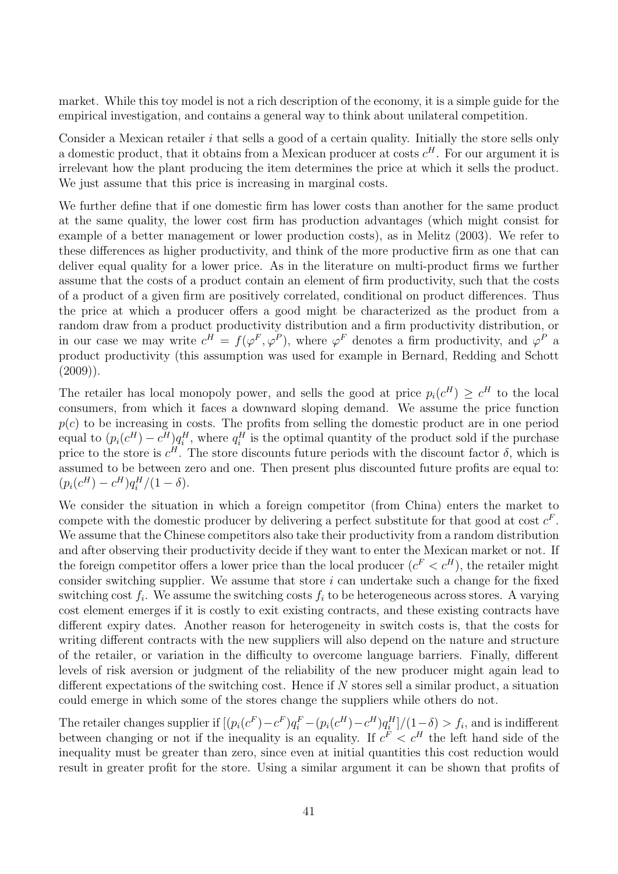market. While this toy model is not a rich description of the economy, it is a simple guide for the empirical investigation, and contains a general way to think about unilateral competition.

Consider a Mexican retailer  $i$  that sells a good of a certain quality. Initially the store sells only a domestic product, that it obtains from a Mexican producer at costs  $c^H$ . For our argument it is irrelevant how the plant producing the item determines the price at which it sells the product. We just assume that this price is increasing in marginal costs.

We further define that if one domestic firm has lower costs than another for the same product at the same quality, the lower cost firm has production advantages (which might consist for example of a better management or lower production costs), as in Melitz (2003). We refer to these differences as higher productivity, and think of the more productive firm as one that can deliver equal quality for a lower price. As in the literature on multi-product firms we further assume that the costs of a product contain an element of firm productivity, such that the costs of a product of a given firm are positively correlated, conditional on product differences. Thus the price at which a producer offers a good might be characterized as the product from a random draw from a product productivity distribution and a firm productivity distribution, or in our case we may write  $c^H = f(\varphi^F, \varphi^P)$ , where  $\varphi^F$  denotes a firm productivity, and  $\varphi^P$  a product productivity (this assumption was used for example in Bernard, Redding and Schott  $(2009)$ ).

The retailer has local monopoly power, and sells the good at price  $p_i(c^H) \geq c^H$  to the local consumers, from which it faces a downward sloping demand. We assume the price function  $p(c)$  to be increasing in costs. The profits from selling the domestic product are in one period equal to  $(p_i(c^H) - c^H)q_i^H$ , where  $q_i^H$  is the optimal quantity of the product sold if the purchase price to the store is  $c^H$ . The store discounts future periods with the discount factor  $\delta$ , which is assumed to be between zero and one. Then present plus discounted future profits are equal to:  $(p_i(c^H) - c^H)q_i^H/(1 - \delta).$ 

We consider the situation in which a foreign competitor (from China) enters the market to compete with the domestic producer by delivering a perfect substitute for that good at cost  $c^F$ . We assume that the Chinese competitors also take their productivity from a random distribution and after observing their productivity decide if they want to enter the Mexican market or not. If the foreign competitor offers a lower price than the local producer  $(c^F < c^H)$ , the retailer might consider switching supplier. We assume that store  $i$  can undertake such a change for the fixed switching cost  $f_i$ . We assume the switching costs  $f_i$  to be heterogeneous across stores. A varying cost element emerges if it is costly to exit existing contracts, and these existing contracts have different expiry dates. Another reason for heterogeneity in switch costs is, that the costs for writing different contracts with the new suppliers will also depend on the nature and structure of the retailer, or variation in the difficulty to overcome language barriers. Finally, different levels of risk aversion or judgment of the reliability of the new producer might again lead to different expectations of the switching cost. Hence if  $N$  stores sell a similar product, a situation could emerge in which some of the stores change the suppliers while others do not.

The retailer changes supplier if  $[(p_i(c^F) - c^F)q_i^F - (p_i(c^H) - c^H)q_i^H]/(1-\delta) > f_i$ , and is indifferent between changing or not if the inequality is an equality. If  $c^F < c^H$  the left hand side of the inequality must be greater than zero, since even at initial quantities this cost reduction would result in greater profit for the store. Using a similar argument it can be shown that profits of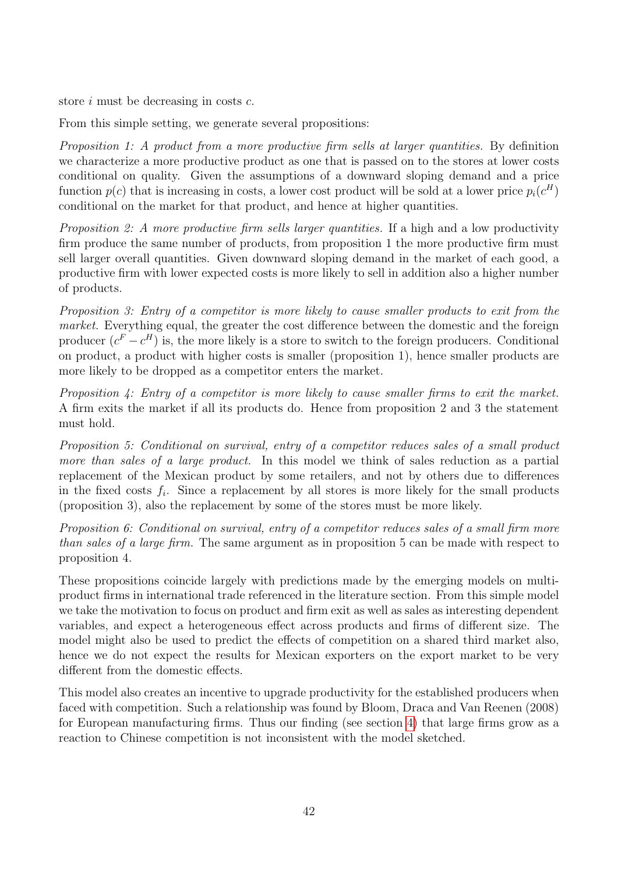store i must be decreasing in costs c.

From this simple setting, we generate several propositions:

Proposition 1: A product from a more productive firm sells at larger quantities. By definition we characterize a more productive product as one that is passed on to the stores at lower costs conditional on quality. Given the assumptions of a downward sloping demand and a price function  $p(c)$  that is increasing in costs, a lower cost product will be sold at a lower price  $p_i(c^H)$ conditional on the market for that product, and hence at higher quantities.

Proposition 2: A more productive firm sells larger quantities. If a high and a low productivity firm produce the same number of products, from proposition 1 the more productive firm must sell larger overall quantities. Given downward sloping demand in the market of each good, a productive firm with lower expected costs is more likely to sell in addition also a higher number of products.

Proposition 3: Entry of a competitor is more likely to cause smaller products to exit from the market. Everything equal, the greater the cost difference between the domestic and the foreign producer  $(c^F - c^H)$  is, the more likely is a store to switch to the foreign producers. Conditional on product, a product with higher costs is smaller (proposition 1), hence smaller products are more likely to be dropped as a competitor enters the market.

Proposition 4: Entry of a competitor is more likely to cause smaller firms to exit the market. A firm exits the market if all its products do. Hence from proposition 2 and 3 the statement must hold.

Proposition 5: Conditional on survival, entry of a competitor reduces sales of a small product more than sales of a large product. In this model we think of sales reduction as a partial replacement of the Mexican product by some retailers, and not by others due to differences in the fixed costs  $f_i$ . Since a replacement by all stores is more likely for the small products (proposition 3), also the replacement by some of the stores must be more likely.

Proposition 6: Conditional on survival, entry of a competitor reduces sales of a small firm more than sales of a large firm. The same argument as in proposition 5 can be made with respect to proposition 4.

These propositions coincide largely with predictions made by the emerging models on multiproduct firms in international trade referenced in the literature section. From this simple model we take the motivation to focus on product and firm exit as well as sales as interesting dependent variables, and expect a heterogeneous effect across products and firms of different size. The model might also be used to predict the effects of competition on a shared third market also, hence we do not expect the results for Mexican exporters on the export market to be very different from the domestic effects.

This model also creates an incentive to upgrade productivity for the established producers when faced with competition. Such a relationship was found by Bloom, Draca and Van Reenen (2008) for European manufacturing firms. Thus our finding (see section [4\)](#page-9-0) that large firms grow as a reaction to Chinese competition is not inconsistent with the model sketched.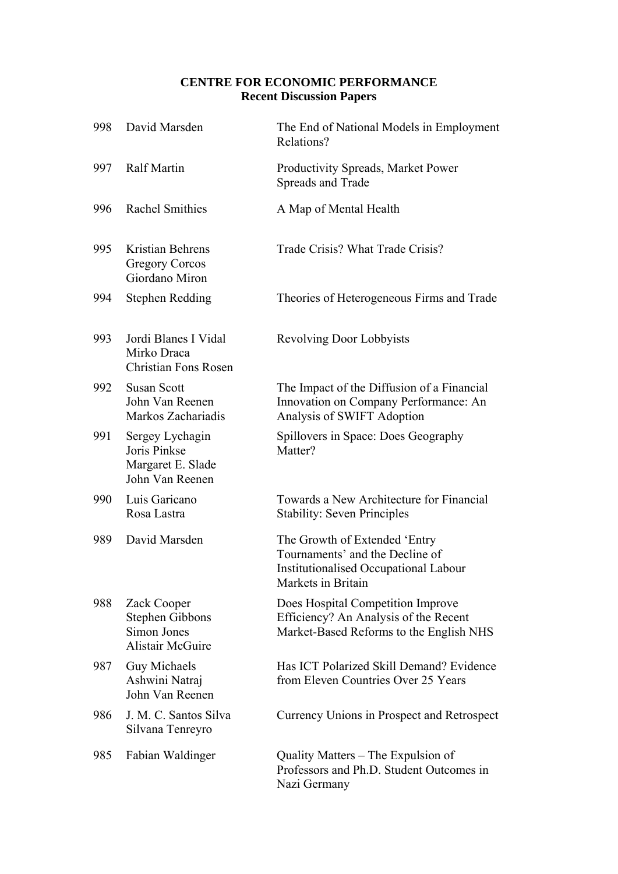### **CENTRE FOR ECONOMIC PERFORMANCE Recent Discussion Papers**

| 998 | David Marsden                                                                   | The End of National Models in Employment<br>Relations?                                                                                 |
|-----|---------------------------------------------------------------------------------|----------------------------------------------------------------------------------------------------------------------------------------|
| 997 | <b>Ralf Martin</b>                                                              | Productivity Spreads, Market Power<br>Spreads and Trade                                                                                |
| 996 | <b>Rachel Smithies</b>                                                          | A Map of Mental Health                                                                                                                 |
| 995 | Kristian Behrens<br>Gregory Corcos<br>Giordano Miron                            | Trade Crisis? What Trade Crisis?                                                                                                       |
| 994 | <b>Stephen Redding</b>                                                          | Theories of Heterogeneous Firms and Trade                                                                                              |
| 993 | Jordi Blanes I Vidal<br>Mirko Draca<br><b>Christian Fons Rosen</b>              | <b>Revolving Door Lobbyists</b>                                                                                                        |
| 992 | <b>Susan Scott</b><br>John Van Reenen<br>Markos Zachariadis                     | The Impact of the Diffusion of a Financial<br>Innovation on Company Performance: An<br>Analysis of SWIFT Adoption                      |
| 991 | Sergey Lychagin<br>Joris Pinkse<br>Margaret E. Slade<br>John Van Reenen         | Spillovers in Space: Does Geography<br>Matter?                                                                                         |
| 990 | Luis Garicano<br>Rosa Lastra                                                    | Towards a New Architecture for Financial<br><b>Stability: Seven Principles</b>                                                         |
| 989 | David Marsden                                                                   | The Growth of Extended 'Entry<br>Tournaments' and the Decline of<br><b>Institutionalised Occupational Labour</b><br>Markets in Britain |
| 988 | Zack Cooper<br><b>Stephen Gibbons</b><br>Simon Jones<br><b>Alistair McGuire</b> | Does Hospital Competition Improve<br>Efficiency? An Analysis of the Recent<br>Market-Based Reforms to the English NHS                  |
| 987 | Guy Michaels<br>Ashwini Natraj<br>John Van Reenen                               | Has ICT Polarized Skill Demand? Evidence<br>from Eleven Countries Over 25 Years                                                        |
| 986 | J. M. C. Santos Silva<br>Silvana Tenreyro                                       | Currency Unions in Prospect and Retrospect                                                                                             |
| 985 | Fabian Waldinger                                                                | Quality Matters – The Expulsion of<br>Professors and Ph.D. Student Outcomes in<br>Nazi Germany                                         |